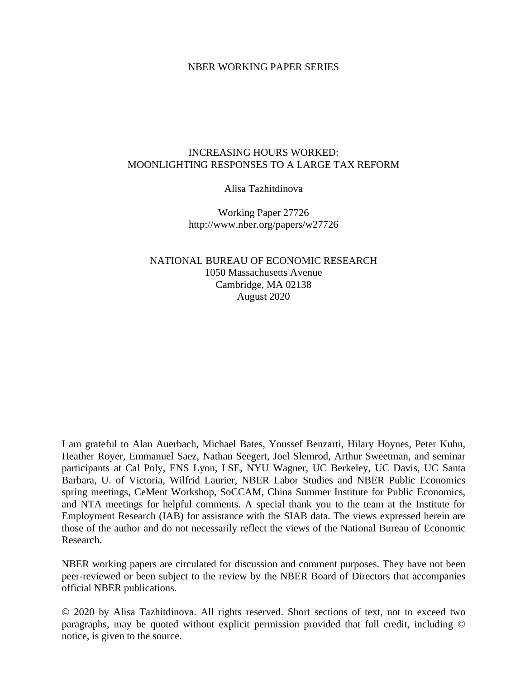#### NBER WORKING PAPER SERIES

#### INCREASING HOURS WORKED: MOONLIGHTING RESPONSES TO A LARGE TAX REFORM

#### Alisa Tazhitdinova

Working Paper 27726 http://www.nber.org/papers/w27726

#### NATIONAL BUREAU OF ECONOMIC RESEARCH 1050 Massachusetts Avenue Cambridge, MA 02138 August 2020

I am grateful to Alan Auerbach, Michael Bates, Youssef Benzarti, Hilary Hoynes, Peter Kuhn, Heather Royer, Emmanuel Saez, Nathan Seegert, Joel Slemrod, Arthur Sweetman, and seminar participants at Cal Poly, ENS Lyon, LSE, NYU Wagner, UC Berkeley, UC Davis, UC Santa Barbara, U. of Victoria, Wilfrid Laurier, NBER Labor Studies and NBER Public Economics spring meetings, CeMent Workshop, SoCCAM, China Summer Institute for Public Economics, and NTA meetings for helpful comments. A special thank you to the team at the Institute for Employment Research (IAB) for assistance with the SIAB data. The views expressed herein are those of the author and do not necessarily reflect the views of the National Bureau of Economic Research.

NBER working papers are circulated for discussion and comment purposes. They have not been peer-reviewed or been subject to the review by the NBER Board of Directors that accompanies official NBER publications.

© 2020 by Alisa Tazhitdinova. All rights reserved. Short sections of text, not to exceed two paragraphs, may be quoted without explicit permission provided that full credit, including © notice, is given to the source.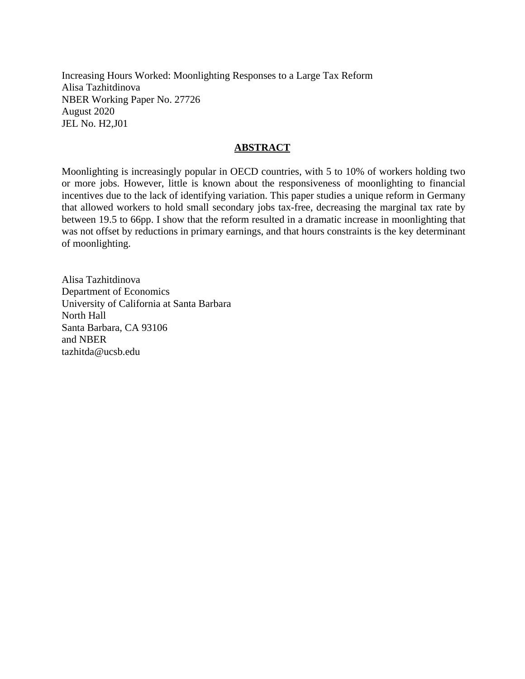Increasing Hours Worked: Moonlighting Responses to a Large Tax Reform Alisa Tazhitdinova NBER Working Paper No. 27726 August 2020 JEL No. H2,J01

#### **ABSTRACT**

Moonlighting is increasingly popular in OECD countries, with 5 to 10% of workers holding two or more jobs. However, little is known about the responsiveness of moonlighting to financial incentives due to the lack of identifying variation. This paper studies a unique reform in Germany that allowed workers to hold small secondary jobs tax-free, decreasing the marginal tax rate by between 19.5 to 66pp. I show that the reform resulted in a dramatic increase in moonlighting that was not offset by reductions in primary earnings, and that hours constraints is the key determinant of moonlighting.

Alisa Tazhitdinova Department of Economics University of California at Santa Barbara North Hall Santa Barbara, CA 93106 and NBER tazhitda@ucsb.edu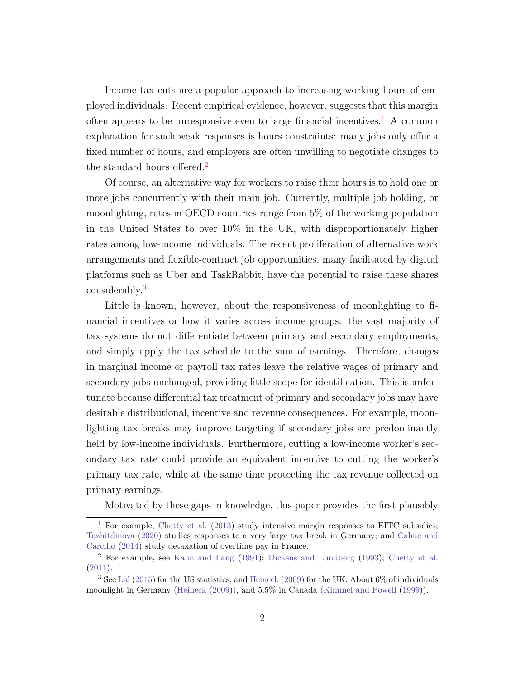Income tax cuts are a popular approach to increasing working hours of employed individuals. Recent empirical evidence, however, suggests that this margin often appears to be unresponsive even to large financial incentives.<sup>[1](#page-2-0)</sup> A common explanation for such weak responses is hours constraints: many jobs only offer a fixed number of hours, and employers are often unwilling to negotiate changes to the standard hours offered.<sup>[2](#page-2-1)</sup>

Of course, an alternative way for workers to raise their hours is to hold one or more jobs concurrently with their main job. Currently, multiple job holding, or moonlighting, rates in OECD countries range from 5% of the working population in the United States to over 10% in the UK, with disproportionately higher rates among low-income individuals. The recent proliferation of alternative work arrangements and flexible-contract job opportunities, many facilitated by digital platforms such as Uber and TaskRabbit, have the potential to raise these shares considerably.[3](#page-2-2)

Little is known, however, about the responsiveness of moonlighting to financial incentives or how it varies across income groups: the vast majority of tax systems do not differentiate between primary and secondary employments, and simply apply the tax schedule to the sum of earnings. Therefore, changes in marginal income or payroll tax rates leave the relative wages of primary and secondary jobs unchanged, providing little scope for identification. This is unfortunate because differential tax treatment of primary and secondary jobs may have desirable distributional, incentive and revenue consequences. For example, moonlighting tax breaks may improve targeting if secondary jobs are predominantly held by low-income individuals. Furthermore, cutting a low-income worker's secondary tax rate could provide an equivalent incentive to cutting the worker's primary tax rate, while at the same time protecting the tax revenue collected on primary earnings.

Motivated by these gaps in knowledge, this paper provides the first plausibly

<span id="page-2-0"></span><sup>&</sup>lt;sup>1</sup> For example, [Chetty et al.](#page-35-0) [\(2013\)](#page-35-0) study intensive margin responses to EITC subsidies; [Tazhitdinova](#page-37-0) [\(2020\)](#page-37-0) studies responses to a very large tax break in Germany; and [Cahuc and](#page-34-0) [Carcillo](#page-34-0) [\(2014\)](#page-34-0) study detaxation of overtime pay in France.

<span id="page-2-1"></span><sup>2</sup> For example, see [Kahn and Lang](#page-35-1) [\(1991\)](#page-35-1); [Dickens and Lundberg](#page-35-2) [\(1993\)](#page-35-2); [Chetty et al.](#page-34-1) [\(2011\)](#page-34-1).

<span id="page-2-2"></span><sup>3</sup> See [Lal](#page-36-0) [\(2015\)](#page-36-0) for the US statistics, and [Heineck](#page-35-3) [\(2009\)](#page-35-3) for the UK. About 6% of individuals moonlight in Germany [\(Heineck](#page-35-3) [\(2009\)](#page-35-3)), and 5.5% in Canada [\(Kimmel and Powell](#page-35-4) [\(1999\)](#page-35-4)).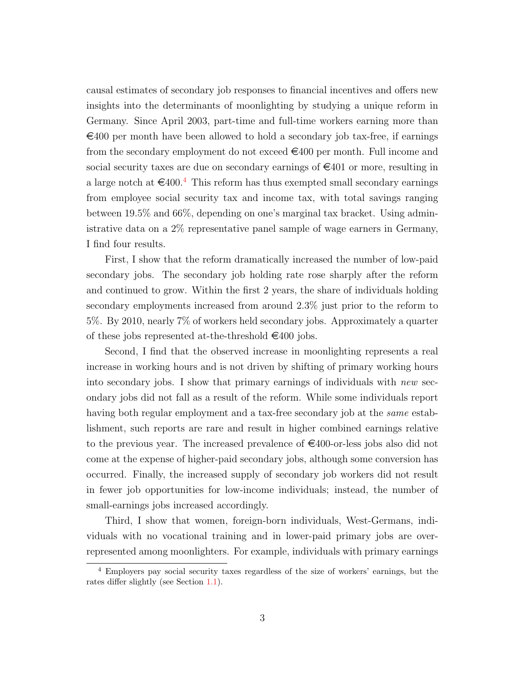causal estimates of secondary job responses to financial incentives and offers new insights into the determinants of moonlighting by studying a unique reform in Germany. Since April 2003, part-time and full-time workers earning more than  $\epsilon$ 400 per month have been allowed to hold a secondary job tax-free, if earnings from the secondary employment do not exceed  $\epsilon$ 400 per month. Full income and social security taxes are due on secondary earnings of  $\epsilon$ 401 or more, resulting in a large notch at  $\epsilon$ [4](#page-3-0)00.<sup>4</sup> This reform has thus exempted small secondary earnings from employee social security tax and income tax, with total savings ranging between 19.5% and 66%, depending on one's marginal tax bracket. Using administrative data on a 2% representative panel sample of wage earners in Germany, I find four results.

First, I show that the reform dramatically increased the number of low-paid secondary jobs. The secondary job holding rate rose sharply after the reform and continued to grow. Within the first 2 years, the share of individuals holding secondary employments increased from around 2.3% just prior to the reform to 5%. By 2010, nearly 7% of workers held secondary jobs. Approximately a quarter of these jobs represented at-the-threshold  $\in$ 400 jobs.

Second, I find that the observed increase in moonlighting represents a real increase in working hours and is not driven by shifting of primary working hours into secondary jobs. I show that primary earnings of individuals with new secondary jobs did not fall as a result of the reform. While some individuals report having both regular employment and a tax-free secondary job at the same establishment, such reports are rare and result in higher combined earnings relative to the previous year. The increased prevalence of  $\epsilon$ 400-or-less jobs also did not come at the expense of higher-paid secondary jobs, although some conversion has occurred. Finally, the increased supply of secondary job workers did not result in fewer job opportunities for low-income individuals; instead, the number of small-earnings jobs increased accordingly.

Third, I show that women, foreign-born individuals, West-Germans, individuals with no vocational training and in lower-paid primary jobs are overrepresented among moonlighters. For example, individuals with primary earnings

<span id="page-3-0"></span><sup>4</sup> Employers pay social security taxes regardless of the size of workers' earnings, but the rates differ slightly (see Section [1.1\)](#page-8-0).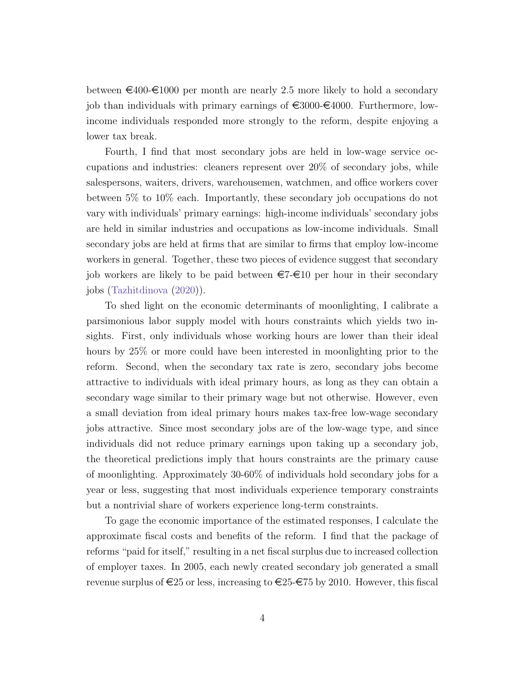between  $\epsilon_{400}\epsilon_{1000}$  per month are nearly 2.5 more likely to hold a secondary job than individuals with primary earnings of  $\epsilon$ 3000- $\epsilon$ 4000. Furthermore, lowincome individuals responded more strongly to the reform, despite enjoying a lower tax break.

Fourth, I find that most secondary jobs are held in low-wage service occupations and industries: cleaners represent over 20% of secondary jobs, while salespersons, waiters, drivers, warehousemen, watchmen, and office workers cover between 5% to 10% each. Importantly, these secondary job occupations do not vary with individuals' primary earnings: high-income individuals' secondary jobs are held in similar industries and occupations as low-income individuals. Small secondary jobs are held at firms that are similar to firms that employ low-income workers in general. Together, these two pieces of evidence suggest that secondary job workers are likely to be paid between  $\epsilon = \epsilon 10$  per hour in their secondary jobs [\(Tazhitdinova](#page-37-0) [\(2020\)](#page-37-0)).

To shed light on the economic determinants of moonlighting, I calibrate a parsimonious labor supply model with hours constraints which yields two insights. First, only individuals whose working hours are lower than their ideal hours by 25% or more could have been interested in moonlighting prior to the reform. Second, when the secondary tax rate is zero, secondary jobs become attractive to individuals with ideal primary hours, as long as they can obtain a secondary wage similar to their primary wage but not otherwise. However, even a small deviation from ideal primary hours makes tax-free low-wage secondary jobs attractive. Since most secondary jobs are of the low-wage type, and since individuals did not reduce primary earnings upon taking up a secondary job, the theoretical predictions imply that hours constraints are the primary cause of moonlighting. Approximately 30-60% of individuals hold secondary jobs for a year or less, suggesting that most individuals experience temporary constraints but a nontrivial share of workers experience long-term constraints.

To gage the economic importance of the estimated responses, I calculate the approximate fiscal costs and benefits of the reform. I find that the package of reforms "paid for itself," resulting in a net fiscal surplus due to increased collection of employer taxes. In 2005, each newly created secondary job generated a small revenue surplus of  $\epsilon$ 25 or less, increasing to  $\epsilon$ 25- $\epsilon$ 75 by 2010. However, this fiscal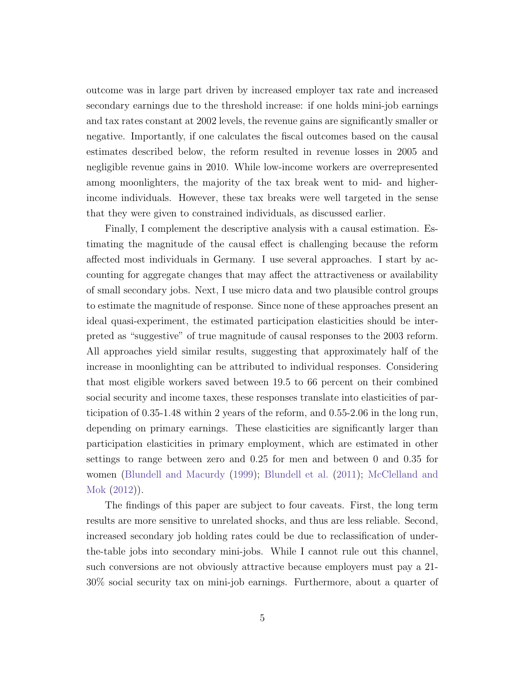outcome was in large part driven by increased employer tax rate and increased secondary earnings due to the threshold increase: if one holds mini-job earnings and tax rates constant at 2002 levels, the revenue gains are significantly smaller or negative. Importantly, if one calculates the fiscal outcomes based on the causal estimates described below, the reform resulted in revenue losses in 2005 and negligible revenue gains in 2010. While low-income workers are overrepresented among moonlighters, the majority of the tax break went to mid- and higherincome individuals. However, these tax breaks were well targeted in the sense that they were given to constrained individuals, as discussed earlier.

Finally, I complement the descriptive analysis with a causal estimation. Estimating the magnitude of the causal effect is challenging because the reform affected most individuals in Germany. I use several approaches. I start by accounting for aggregate changes that may affect the attractiveness or availability of small secondary jobs. Next, I use micro data and two plausible control groups to estimate the magnitude of response. Since none of these approaches present an ideal quasi-experiment, the estimated participation elasticities should be interpreted as "suggestive" of true magnitude of causal responses to the 2003 reform. All approaches yield similar results, suggesting that approximately half of the increase in moonlighting can be attributed to individual responses. Considering that most eligible workers saved between 19.5 to 66 percent on their combined social security and income taxes, these responses translate into elasticities of participation of 0.35-1.48 within 2 years of the reform, and 0.55-2.06 in the long run, depending on primary earnings. These elasticities are significantly larger than participation elasticities in primary employment, which are estimated in other settings to range between zero and 0.25 for men and between 0 and 0.35 for women [\(Blundell and Macurdy](#page-34-2) [\(1999\)](#page-34-2); [Blundell et al.](#page-34-3) [\(2011\)](#page-34-3); [McClelland and](#page-36-1) [Mok](#page-36-1) [\(2012\)](#page-36-1)).

The findings of this paper are subject to four caveats. First, the long term results are more sensitive to unrelated shocks, and thus are less reliable. Second, increased secondary job holding rates could be due to reclassification of underthe-table jobs into secondary mini-jobs. While I cannot rule out this channel, such conversions are not obviously attractive because employers must pay a 21- 30% social security tax on mini-job earnings. Furthermore, about a quarter of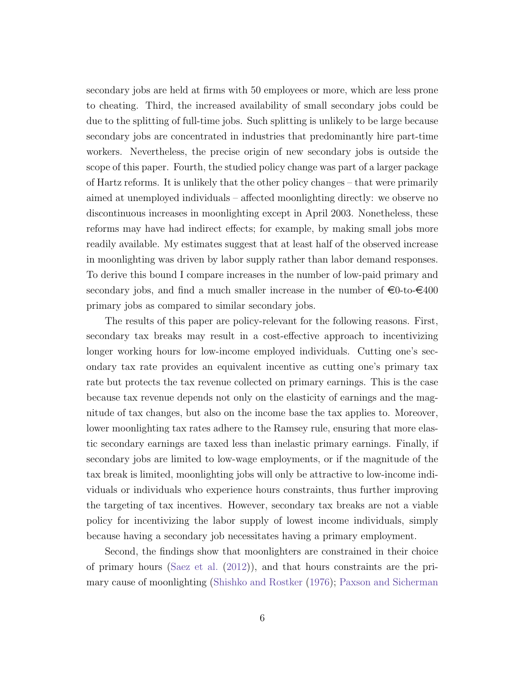secondary jobs are held at firms with 50 employees or more, which are less prone to cheating. Third, the increased availability of small secondary jobs could be due to the splitting of full-time jobs. Such splitting is unlikely to be large because secondary jobs are concentrated in industries that predominantly hire part-time workers. Nevertheless, the precise origin of new secondary jobs is outside the scope of this paper. Fourth, the studied policy change was part of a larger package of Hartz reforms. It is unlikely that the other policy changes – that were primarily aimed at unemployed individuals – affected moonlighting directly: we observe no discontinuous increases in moonlighting except in April 2003. Nonetheless, these reforms may have had indirect effects; for example, by making small jobs more readily available. My estimates suggest that at least half of the observed increase in moonlighting was driven by labor supply rather than labor demand responses. To derive this bound I compare increases in the number of low-paid primary and secondary jobs, and find a much smaller increase in the number of  $\epsilon 0$ -to- $\epsilon 400$ primary jobs as compared to similar secondary jobs.

The results of this paper are policy-relevant for the following reasons. First, secondary tax breaks may result in a cost-effective approach to incentivizing longer working hours for low-income employed individuals. Cutting one's secondary tax rate provides an equivalent incentive as cutting one's primary tax rate but protects the tax revenue collected on primary earnings. This is the case because tax revenue depends not only on the elasticity of earnings and the magnitude of tax changes, but also on the income base the tax applies to. Moreover, lower moonlighting tax rates adhere to the Ramsey rule, ensuring that more elastic secondary earnings are taxed less than inelastic primary earnings. Finally, if secondary jobs are limited to low-wage employments, or if the magnitude of the tax break is limited, moonlighting jobs will only be attractive to low-income individuals or individuals who experience hours constraints, thus further improving the targeting of tax incentives. However, secondary tax breaks are not a viable policy for incentivizing the labor supply of lowest income individuals, simply because having a secondary job necessitates having a primary employment.

Second, the findings show that moonlighters are constrained in their choice of primary hours [\(Saez et al.](#page-36-2) [\(2012\)](#page-36-2)), and that hours constraints are the primary cause of moonlighting [\(Shishko and Rostker](#page-36-3) [\(1976\)](#page-36-3); [Paxson and Sicherman](#page-36-4)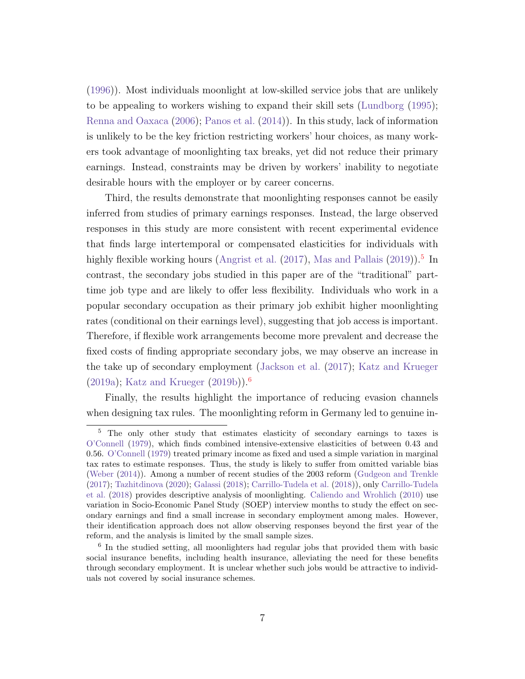[\(1996\)](#page-36-4)). Most individuals moonlight at low-skilled service jobs that are unlikely to be appealing to workers wishing to expand their skill sets [\(Lundborg](#page-36-5) [\(1995\)](#page-36-5); [Renna and Oaxaca](#page-36-6) [\(2006\)](#page-36-6); [Panos et al.](#page-36-7) [\(2014\)](#page-36-7)). In this study, lack of information is unlikely to be the key friction restricting workers' hour choices, as many workers took advantage of moonlighting tax breaks, yet did not reduce their primary earnings. Instead, constraints may be driven by workers' inability to negotiate desirable hours with the employer or by career concerns.

Third, the results demonstrate that moonlighting responses cannot be easily inferred from studies of primary earnings responses. Instead, the large observed responses in this study are more consistent with recent experimental evidence that finds large intertemporal or compensated elasticities for individuals with highly flexible working hours [\(Angrist et al.](#page-34-4)  $(2017)$ , [Mas and Pallais](#page-36-8)  $(2019)$ ).<sup>[5](#page-7-0)</sup> In contrast, the secondary jobs studied in this paper are of the "traditional" parttime job type and are likely to offer less flexibility. Individuals who work in a popular secondary occupation as their primary job exhibit higher moonlighting rates (conditional on their earnings level), suggesting that job access is important. Therefore, if flexible work arrangements become more prevalent and decrease the fixed costs of finding appropriate secondary jobs, we may observe an increase in the take up of secondary employment [\(Jackson et al.](#page-35-5) [\(2017\)](#page-35-5); [Katz and Krueger](#page-35-6) [\(2019a\)](#page-35-6); [Katz and Krueger](#page-35-7) [\(2019b\)](#page-35-7)).[6](#page-7-1)

Finally, the results highlight the importance of reducing evasion channels when designing tax rules. The moonlighting reform in Germany led to genuine in-

<span id="page-7-0"></span><sup>5</sup> The only other study that estimates elasticity of secondary earnings to taxes is [O'Connell](#page-36-9) [\(1979\)](#page-36-9), which finds combined intensive-extensive elasticities of between 0.43 and 0.56. [O'Connell](#page-36-9) [\(1979\)](#page-36-9) treated primary income as fixed and used a simple variation in marginal tax rates to estimate responses. Thus, the study is likely to suffer from omitted variable bias [\(Weber](#page-37-1) [\(2014\)](#page-37-1)). Among a number of recent studies of the 2003 reform [\(Gudgeon and Trenkle](#page-35-8) [\(2017\)](#page-35-8); [Tazhitdinova](#page-37-0) [\(2020\)](#page-37-0); [Galassi](#page-35-9) [\(2018\)](#page-35-9); [Carrillo-Tudela et al.](#page-34-5) [\(2018\)](#page-34-5)), only [Carrillo-Tudela](#page-34-5) [et al.](#page-34-5) [\(2018\)](#page-34-5) provides descriptive analysis of moonlighting. [Caliendo and Wrohlich](#page-34-6) [\(2010\)](#page-34-6) use variation in Socio-Economic Panel Study (SOEP) interview months to study the effect on secondary earnings and find a small increase in secondary employment among males. However, their identification approach does not allow observing responses beyond the first year of the reform, and the analysis is limited by the small sample sizes.

<span id="page-7-1"></span><sup>6</sup> In the studied setting, all moonlighters had regular jobs that provided them with basic social insurance benefits, including health insurance, alleviating the need for these benefits through secondary employment. It is unclear whether such jobs would be attractive to individuals not covered by social insurance schemes.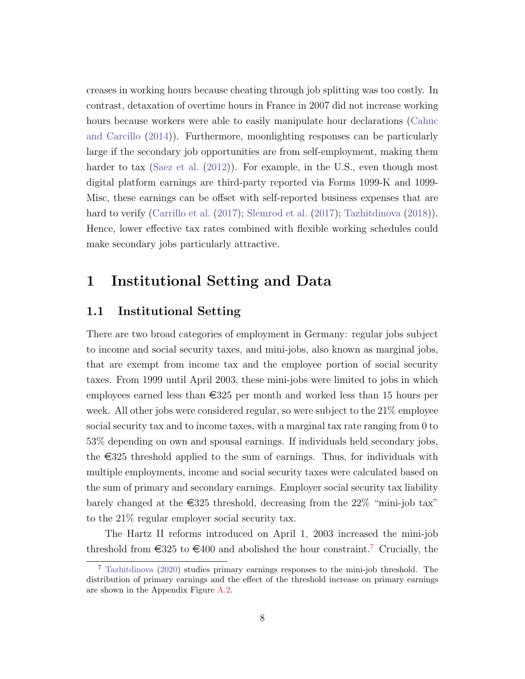creases in working hours because cheating through job splitting was too costly. In contrast, detaxation of overtime hours in France in 2007 did not increase working hours because workers were able to easily manipulate hour declarations [\(Cahuc](#page-34-0) [and Carcillo](#page-34-0) [\(2014\)](#page-34-0)). Furthermore, moonlighting responses can be particularly large if the secondary job opportunities are from self-employment, making them harder to tax [\(Saez et al.](#page-36-2) [\(2012\)](#page-36-2)). For example, in the U.S., even though most digital platform earnings are third-party reported via Forms 1099-K and 1099- Misc, these earnings can be offset with self-reported business expenses that are hard to verify [\(Carrillo et al.](#page-34-7) [\(2017\)](#page-36-10); [Slemrod et al.](#page-36-10) (2017); [Tazhitdinova](#page-37-2) [\(2018\)](#page-37-2)). Hence, lower effective tax rates combined with flexible working schedules could make secondary jobs particularly attractive.

# 1 Institutional Setting and Data

## <span id="page-8-0"></span>1.1 Institutional Setting

There are two broad categories of employment in Germany: regular jobs subject to income and social security taxes, and mini-jobs, also known as marginal jobs, that are exempt from income tax and the employee portion of social security taxes. From 1999 until April 2003, these mini-jobs were limited to jobs in which employees earned less than  $\epsilon$ 325 per month and worked less than 15 hours per week. All other jobs were considered regular, so were subject to the 21% employee social security tax and to income taxes, with a marginal tax rate ranging from 0 to 53% depending on own and spousal earnings. If individuals held secondary jobs, the  $\epsilon$ 325 threshold applied to the sum of earnings. Thus, for individuals with multiple employments, income and social security taxes were calculated based on the sum of primary and secondary earnings. Employer social security tax liability barely changed at the  $\epsilon$ 325 threshold, decreasing from the 22% "mini-job tax" to the 21% regular employer social security tax.

The Hartz II reforms introduced on April 1, 2003 increased the mini-job threshold from  $\epsilon$ 325 to  $\epsilon$ 400 and abolished the hour constraint.<sup>[7](#page-8-1)</sup> Crucially, the

<span id="page-8-1"></span><sup>7</sup> [Tazhitdinova](#page-37-0) [\(2020\)](#page-37-0) studies primary earnings responses to the mini-job threshold. The distribution of primary earnings and the effect of the threshold increase on primary earnings are shown in the Appendix Figure [A.2.](#page-42-0)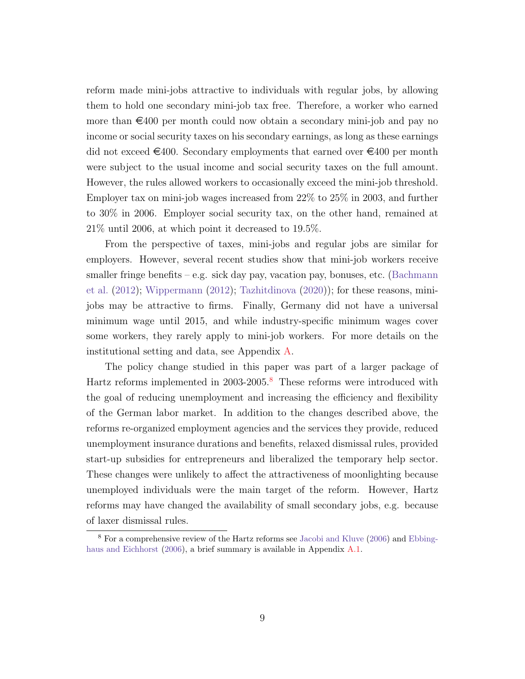reform made mini-jobs attractive to individuals with regular jobs, by allowing them to hold one secondary mini-job tax free. Therefore, a worker who earned more than  $\epsilon$ 400 per month could now obtain a secondary mini-job and pay no income or social security taxes on his secondary earnings, as long as these earnings did not exceed  $\in 400$ . Secondary employments that earned over  $\in 400$  per month were subject to the usual income and social security taxes on the full amount. However, the rules allowed workers to occasionally exceed the mini-job threshold. Employer tax on mini-job wages increased from 22% to 25% in 2003, and further to 30% in 2006. Employer social security tax, on the other hand, remained at 21% until 2006, at which point it decreased to 19.5%.

From the perspective of taxes, mini-jobs and regular jobs are similar for employers. However, several recent studies show that mini-job workers receive smaller fringe benefits – e.g. sick day pay, vacation pay, bonuses, etc. [\(Bachmann](#page-34-8) [et al.](#page-34-8) [\(2012\)](#page-34-8); [Wippermann](#page-37-3) [\(2012\)](#page-37-3); [Tazhitdinova](#page-37-0) [\(2020\)](#page-37-0)); for these reasons, minijobs may be attractive to firms. Finally, Germany did not have a universal minimum wage until 2015, and while industry-specific minimum wages cover some workers, they rarely apply to mini-job workers. For more details on the institutional setting and data, see Appendix [A.](#page-38-0)

The policy change studied in this paper was part of a larger package of Hartz reforms implemented in 2003-2005.<sup>[8](#page-9-0)</sup> These reforms were introduced with the goal of reducing unemployment and increasing the efficiency and flexibility of the German labor market. In addition to the changes described above, the reforms re-organized employment agencies and the services they provide, reduced unemployment insurance durations and benefits, relaxed dismissal rules, provided start-up subsidies for entrepreneurs and liberalized the temporary help sector. These changes were unlikely to affect the attractiveness of moonlighting because unemployed individuals were the main target of the reform. However, Hartz reforms may have changed the availability of small secondary jobs, e.g. because of laxer dismissal rules.

<span id="page-9-0"></span><sup>8</sup> For a comprehensive review of the Hartz reforms see [Jacobi and Kluve](#page-35-10) [\(2006\)](#page-35-10) and [Ebbing](#page-35-11)[haus and Eichhorst](#page-35-11) [\(2006\)](#page-35-11), a brief summary is available in Appendix [A.1.](#page-38-1)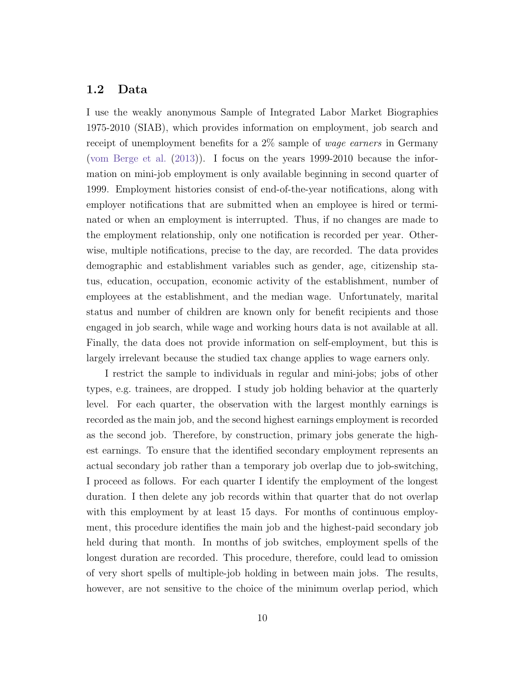#### <span id="page-10-0"></span>1.2 Data

I use the weakly anonymous Sample of Integrated Labor Market Biographies 1975-2010 (SIAB), which provides information on employment, job search and receipt of unemployment benefits for a 2% sample of wage earners in Germany [\(vom Berge et al.](#page-37-4) [\(2013\)](#page-37-4)). I focus on the years 1999-2010 because the information on mini-job employment is only available beginning in second quarter of 1999. Employment histories consist of end-of-the-year notifications, along with employer notifications that are submitted when an employee is hired or terminated or when an employment is interrupted. Thus, if no changes are made to the employment relationship, only one notification is recorded per year. Otherwise, multiple notifications, precise to the day, are recorded. The data provides demographic and establishment variables such as gender, age, citizenship status, education, occupation, economic activity of the establishment, number of employees at the establishment, and the median wage. Unfortunately, marital status and number of children are known only for benefit recipients and those engaged in job search, while wage and working hours data is not available at all. Finally, the data does not provide information on self-employment, but this is largely irrelevant because the studied tax change applies to wage earners only.

I restrict the sample to individuals in regular and mini-jobs; jobs of other types, e.g. trainees, are dropped. I study job holding behavior at the quarterly level. For each quarter, the observation with the largest monthly earnings is recorded as the main job, and the second highest earnings employment is recorded as the second job. Therefore, by construction, primary jobs generate the highest earnings. To ensure that the identified secondary employment represents an actual secondary job rather than a temporary job overlap due to job-switching, I proceed as follows. For each quarter I identify the employment of the longest duration. I then delete any job records within that quarter that do not overlap with this employment by at least 15 days. For months of continuous employment, this procedure identifies the main job and the highest-paid secondary job held during that month. In months of job switches, employment spells of the longest duration are recorded. This procedure, therefore, could lead to omission of very short spells of multiple-job holding in between main jobs. The results, however, are not sensitive to the choice of the minimum overlap period, which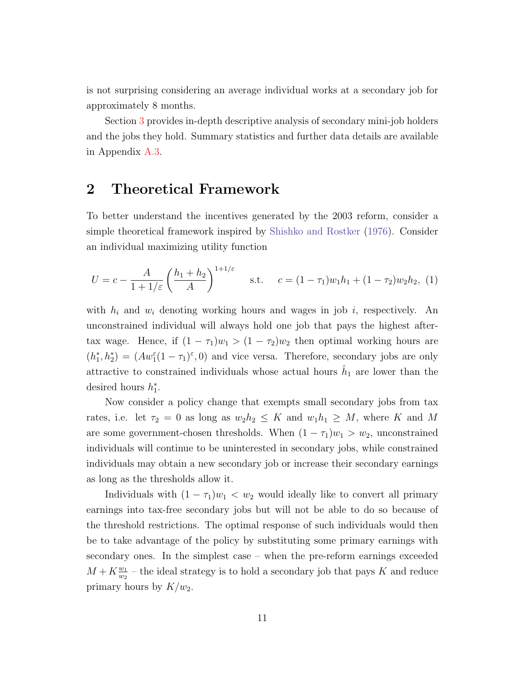is not surprising considering an average individual works at a secondary job for approximately 8 months.

Section [3](#page-14-0) provides in-depth descriptive analysis of secondary mini-job holders and the jobs they hold. Summary statistics and further data details are available in Appendix [A.3.](#page-42-1)

# <span id="page-11-0"></span>2 Theoretical Framework

To better understand the incentives generated by the 2003 reform, consider a simple theoretical framework inspired by [Shishko and Rostker](#page-36-3) [\(1976\)](#page-36-3). Consider an individual maximizing utility function

$$
U = c - \frac{A}{1 + 1/\varepsilon} \left(\frac{h_1 + h_2}{A}\right)^{1 + 1/\varepsilon} \quad \text{s.t.} \quad c = (1 - \tau_1)w_1h_1 + (1 - \tau_2)w_2h_2, \tag{1}
$$

with  $h_i$  and  $w_i$  denoting working hours and wages in job i, respectively. An unconstrained individual will always hold one job that pays the highest aftertax wage. Hence, if  $(1 - \tau_1)w_1 > (1 - \tau_2)w_2$  then optimal working hours are  $(h_1^*, h_2^*) = (Aw_1^{\varepsilon}(1-\tau_1)^{\varepsilon}, 0)$  and vice versa. Therefore, secondary jobs are only attractive to constrained individuals whose actual hours  $\hat{h}_1$  are lower than the desired hours  $h_1^*$ .

Now consider a policy change that exempts small secondary jobs from tax rates, i.e. let  $\tau_2 = 0$  as long as  $w_2 h_2 \leq K$  and  $w_1 h_1 \geq M$ , where K and M are some government-chosen thresholds. When  $(1 - \tau_1)w_1 > w_2$ , unconstrained individuals will continue to be uninterested in secondary jobs, while constrained individuals may obtain a new secondary job or increase their secondary earnings as long as the thresholds allow it.

Individuals with  $(1 - \tau_1)w_1 < w_2$  would ideally like to convert all primary earnings into tax-free secondary jobs but will not be able to do so because of the threshold restrictions. The optimal response of such individuals would then be to take advantage of the policy by substituting some primary earnings with secondary ones. In the simplest case – when the pre-reform earnings exceeded  $M + K \frac{w_1}{w_2}$  – the ideal strategy is to hold a secondary job that pays K and reduce primary hours by  $K/w_2$ .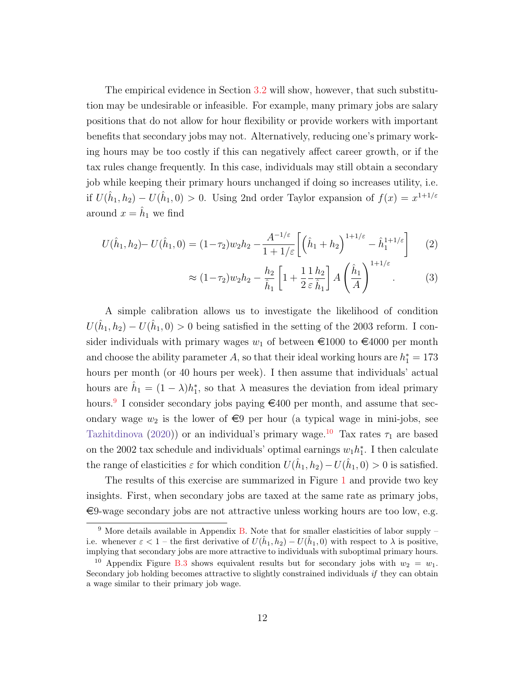The empirical evidence in Section [3.2](#page-19-0) will show, however, that such substitution may be undesirable or infeasible. For example, many primary jobs are salary positions that do not allow for hour flexibility or provide workers with important benefits that secondary jobs may not. Alternatively, reducing one's primary working hours may be too costly if this can negatively affect career growth, or if the tax rules change frequently. In this case, individuals may still obtain a secondary job while keeping their primary hours unchanged if doing so increases utility, i.e. if  $U(\hat{h}_1, h_2) - U(\hat{h}_1, 0) > 0$ . Using 2nd order Taylor expansion of  $f(x) = x^{1+1/\varepsilon}$ around  $x = \hat{h}_1$  we find

$$
U(\hat{h}_1, h_2) - U(\hat{h}_1, 0) = (1 - \tau_2)w_2 h_2 - \frac{A^{-1/\varepsilon}}{1 + 1/\varepsilon} \left[ \left( \hat{h}_1 + h_2 \right)^{1 + 1/\varepsilon} - \hat{h}_1^{1 + 1/\varepsilon} \right] \tag{2}
$$

$$
\approx (1 - \tau_2) w_2 h_2 - \frac{h_2}{\hat{h}_1} \left[ 1 + \frac{1}{2} \frac{1}{\varepsilon} \frac{h_2}{\hat{h}_1} \right] A \left( \frac{\hat{h}_1}{A} \right)^{1 + 1/\varepsilon} . \tag{3}
$$

A simple calibration allows us to investigate the likelihood of condition  $U(\hat{h}_1, h_2) - U(\hat{h}_1, 0) > 0$  being satisfied in the setting of the 2003 reform. I consider individuals with primary wages  $w_1$  of between  $\epsilon$ 1000 to  $\epsilon$ 4000 per month and choose the ability parameter A, so that their ideal working hours are  $h_1^* = 173$ hours per month (or 40 hours per week). I then assume that individuals' actual hours are  $\hat{h}_1 = (1 - \lambda)h_1^*$ , so that  $\lambda$  measures the deviation from ideal primary hours.<sup>[9](#page-12-0)</sup> I consider secondary jobs paying  $\epsilon$ 400 per month, and assume that secondary wage  $w_2$  is the lower of  $\epsilon$ 9 per hour (a typical wage in mini-jobs, see [Tazhitdinova](#page-37-0) [\(2020\)](#page-37-0)) or an individual's primary wage.<sup>[10](#page-12-1)</sup> Tax rates  $\tau_1$  are based on the 2002 tax schedule and individuals' optimal earnings  $w_1 h_1^*$ . I then calculate the range of elasticities  $\varepsilon$  for which condition  $U(\hat{h}_1, h_2) - U(\hat{h}_1, 0) > 0$  is satisfied.

The results of this exercise are summarized in Figure [1](#page-13-0) and provide two key insights. First, when secondary jobs are taxed at the same rate as primary jobs,  $\epsilon$ 9-wage secondary jobs are not attractive unless working hours are too low, e.g.

<span id="page-12-0"></span> $9$  More details available in Appendix [B.](#page-45-0) Note that for smaller elasticities of labor supply – i.e. whenever  $\varepsilon < 1$  – the first derivative of  $U(\hat{h}_1, h_2) - U(\hat{h}_1, 0)$  with respect to  $\lambda$  is positive, implying that secondary jobs are more attractive to individuals with suboptimal primary hours.

<span id="page-12-1"></span><sup>&</sup>lt;sup>10</sup> Appendix Figure [B.3](#page-46-0) shows equivalent results but for secondary jobs with  $w_2 = w_1$ . Secondary job holding becomes attractive to slightly constrained individuals *if* they can obtain a wage similar to their primary job wage.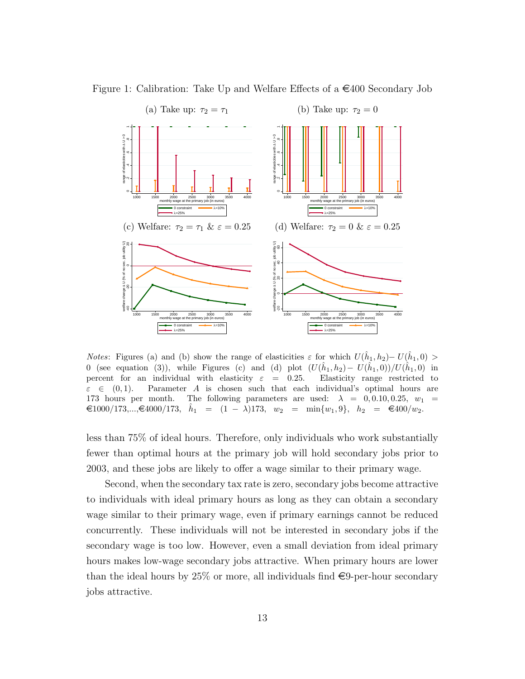

<span id="page-13-0"></span>Figure 1: Calibration: Take Up and Welfare Effects of a  $\in$ 400 Secondary Job

*Notes*: Figures (a) and (b) show the range of elasticities  $\varepsilon$  for which  $U(\hat{h}_1, h_2) - U(\hat{h}_1, 0) >$ 0 (see equation (3)), while Figures (c) and (d) plot  $(U(\hat{h}_1, h_2) - U(\hat{h}_1, 0))/U(\hat{h}_1, 0)$  in percent for an individual with elasticity  $\varepsilon = 0.25$ . Elasticity range restricted to  $\varepsilon \in (0,1)$ . Parameter A is chosen such that each individual's optimal hours are 173 hours per month. The following parameters are used:  $\lambda = 0, 0.10, 0.25, w_1 =$  $\in$ 1000/173,..., $\in$ 4000/173,  $\hat{h}_1 = (1 - \lambda)173$ ,  $w_2 = \min\{w_1, 9\}$ ,  $h_2 = \in$ 400/ $w_2$ .

less than 75% of ideal hours. Therefore, only individuals who work substantially fewer than optimal hours at the primary job will hold secondary jobs prior to 2003, and these jobs are likely to offer a wage similar to their primary wage.

Second, when the secondary tax rate is zero, secondary jobs become attractive to individuals with ideal primary hours as long as they can obtain a secondary wage similar to their primary wage, even if primary earnings cannot be reduced concurrently. These individuals will not be interested in secondary jobs if the secondary wage is too low. However, even a small deviation from ideal primary hours makes low-wage secondary jobs attractive. When primary hours are lower than the ideal hours by 25% or more, all individuals find  $\epsilon$ 9-per-hour secondary jobs attractive.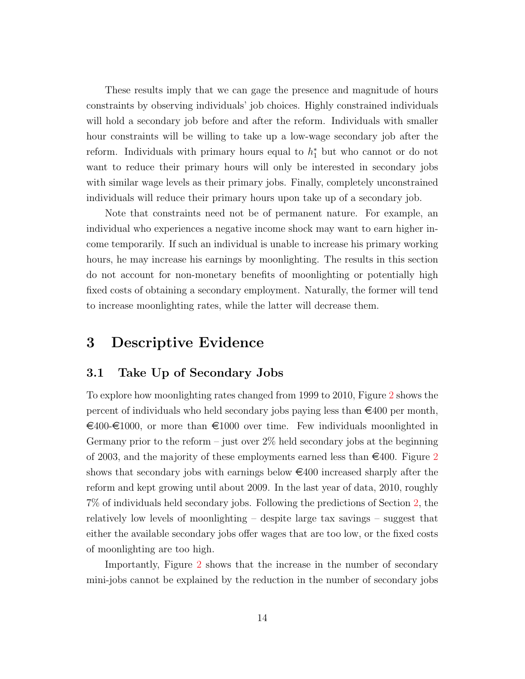These results imply that we can gage the presence and magnitude of hours constraints by observing individuals' job choices. Highly constrained individuals will hold a secondary job before and after the reform. Individuals with smaller hour constraints will be willing to take up a low-wage secondary job after the reform. Individuals with primary hours equal to  $h_1^*$  but who cannot or do not want to reduce their primary hours will only be interested in secondary jobs with similar wage levels as their primary jobs. Finally, completely unconstrained individuals will reduce their primary hours upon take up of a secondary job.

Note that constraints need not be of permanent nature. For example, an individual who experiences a negative income shock may want to earn higher income temporarily. If such an individual is unable to increase his primary working hours, he may increase his earnings by moonlighting. The results in this section do not account for non-monetary benefits of moonlighting or potentially high fixed costs of obtaining a secondary employment. Naturally, the former will tend to increase moonlighting rates, while the latter will decrease them.

# <span id="page-14-0"></span>3 Descriptive Evidence

## <span id="page-14-1"></span>3.1 Take Up of Secondary Jobs

To explore how moonlighting rates changed from 1999 to 2010, Figure [2](#page-15-0) shows the percent of individuals who held secondary jobs paying less than  $\in 400$  per month,  $\epsilon_{400}$ - $\epsilon_{1000}$ , or more than  $\epsilon_{1000}$  over time. Few individuals moonlighted in Germany prior to the reform – just over  $2\%$  held secondary jobs at the beginning of [2](#page-15-0)003, and the majority of these employments earned less than  $\epsilon$ 400. Figure 2 shows that secondary jobs with earnings below  $\in 400$  increased sharply after the reform and kept growing until about 2009. In the last year of data, 2010, roughly 7% of individuals held secondary jobs. Following the predictions of Section [2,](#page-11-0) the relatively low levels of moonlighting – despite large tax savings – suggest that either the available secondary jobs offer wages that are too low, or the fixed costs of moonlighting are too high.

Importantly, Figure [2](#page-15-0) shows that the increase in the number of secondary mini-jobs cannot be explained by the reduction in the number of secondary jobs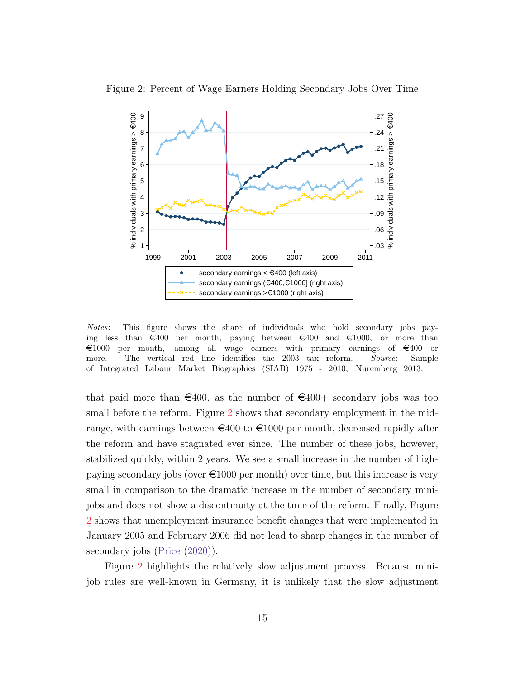

<span id="page-15-0"></span>Figure 2: Percent of Wage Earners Holding Secondary Jobs Over Time

Notes: This figure shows the share of individuals who hold secondary jobs paying less than  $\epsilon$ 400 per month, paying between  $\epsilon$ 400 and  $\epsilon$ 1000, or more than  $\epsilon$ 1000 per month, among all wage earners with primary earnings of  $\epsilon$ 400 or more. The vertical red line identifies the 2003 tax reform. Source: Sample of Integrated Labour Market Biographies (SIAB) 1975 - 2010, Nuremberg 2013.

that paid more than  $\epsilon$ 400, as the number of  $\epsilon$ 400+ secondary jobs was too small before the reform. Figure [2](#page-15-0) shows that secondary employment in the midrange, with earnings between  $\epsilon$ 400 to  $\epsilon$ 1000 per month, decreased rapidly after the reform and have stagnated ever since. The number of these jobs, however, stabilized quickly, within 2 years. We see a small increase in the number of highpaying secondary jobs (over  $\epsilon 1000$  per month) over time, but this increase is very small in comparison to the dramatic increase in the number of secondary minijobs and does not show a discontinuity at the time of the reform. Finally, Figure [2](#page-15-0) shows that unemployment insurance benefit changes that were implemented in January 2005 and February 2006 did not lead to sharp changes in the number of secondary jobs [\(Price](#page-36-11)  $(2020)$ ).

Figure [2](#page-15-0) highlights the relatively slow adjustment process. Because minijob rules are well-known in Germany, it is unlikely that the slow adjustment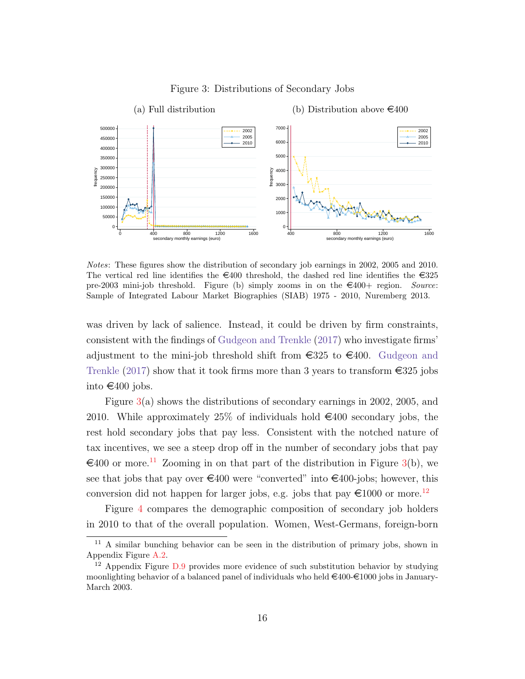<span id="page-16-0"></span>

Figure 3: Distributions of Secondary Jobs

Notes: These figures show the distribution of secondary job earnings in 2002, 2005 and 2010. The vertical red line identifies the  $\epsilon$ 400 threshold, the dashed red line identifies the  $\epsilon$ 325 pre-2003 mini-job threshold. Figure (b) simply zooms in on the  $\epsilon$ 400+ region. Source: Sample of Integrated Labour Market Biographies (SIAB) 1975 - 2010, Nuremberg 2013.

was driven by lack of salience. Instead, it could be driven by firm constraints, consistent with the findings of [Gudgeon and Trenkle](#page-35-8) [\(2017\)](#page-35-8) who investigate firms' adjustment to the mini-job threshold shift from  $\epsilon$ 325 to  $\epsilon$ 400. [Gudgeon and](#page-35-8) [Trenkle](#page-35-8) [\(2017\)](#page-35-8) show that it took firms more than 3 years to transform  $\epsilon$ 325 jobs into €400 jobs.

Figure [3\(](#page-16-0)a) shows the distributions of secondary earnings in 2002, 2005, and 2010. While approximately 25% of individuals hold  $\in$ 400 secondary jobs, the rest hold secondary jobs that pay less. Consistent with the notched nature of tax incentives, we see a steep drop off in the number of secondary jobs that pay  $\epsilon$ 400 or more.<sup>[11](#page-16-1)</sup> Zooming in on that part of the distribution in Figure [3\(](#page-16-0)b), we see that jobs that pay over  $\epsilon$ 400 were "converted" into  $\epsilon$ 400-jobs; however, this conversion did not happen for larger jobs, e.g. jobs that pay  $\text{\textsterling}1000$  or more.<sup>[12](#page-16-2)</sup>

Figure [4](#page-17-0) compares the demographic composition of secondary job holders in 2010 to that of the overall population. Women, West-Germans, foreign-born

<span id="page-16-1"></span><sup>&</sup>lt;sup>11</sup> A similar bunching behavior can be seen in the distribution of primary jobs, shown in Appendix Figure [A.2.](#page-42-0)

<span id="page-16-2"></span> $12$  Appendix Figure [D.9](#page-53-0) provides more evidence of such substitution behavior by studying moonlighting behavior of a balanced panel of individuals who held  $\epsilon$ 400- $\epsilon$ 1000 jobs in January-March 2003.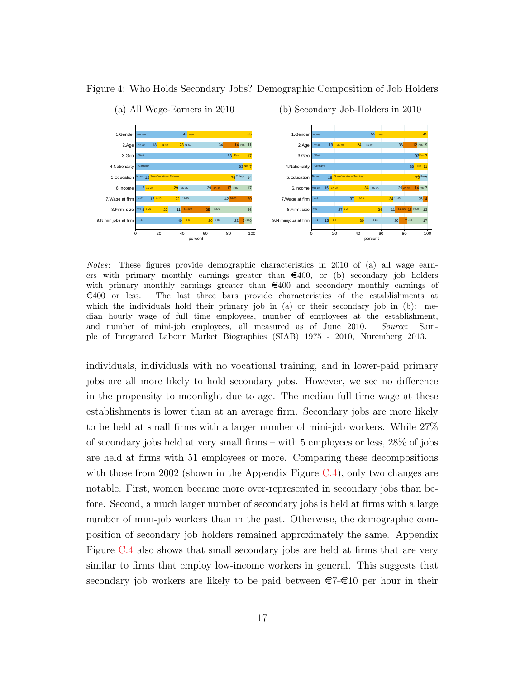<span id="page-17-0"></span>

#### Figure 4: Who Holds Secondary Jobs? Demographic Composition of Job Holders

Notes: These figures provide demographic characteristics in 2010 of (a) all wage earners with primary monthly earnings greater than  $\epsilon$ 400, or (b) secondary job holders with primary monthly earnings greater than  $\epsilon$ 400 and secondary monthly earnings of  $\in$ 400 or less. The last three bars provide characteristics of the establishments at which the individuals hold their primary job in (a) or their secondary job in (b): median hourly wage of full time employees, number of employees at the establishment, and number of mini-job employees, all measured as of June 2010. Source: Sample of Integrated Labour Market Biographies (SIAB) 1975 - 2010, Nuremberg 2013.

individuals, individuals with no vocational training, and in lower-paid primary jobs are all more likely to hold secondary jobs. However, we see no difference in the propensity to moonlight due to age. The median full-time wage at these establishments is lower than at an average firm. Secondary jobs are more likely to be held at small firms with a larger number of mini-job workers. While 27% of secondary jobs held at very small firms – with 5 employees or less, 28% of jobs are held at firms with 51 employees or more. Comparing these decompositions with those from 2002 (shown in the Appendix Figure  $C.4$ ), only two changes are notable. First, women became more over-represented in secondary jobs than before. Second, a much larger number of secondary jobs is held at firms with a large number of mini-job workers than in the past. Otherwise, the demographic composition of secondary job holders remained approximately the same. Appendix Figure [C.4](#page-48-0) also shows that small secondary jobs are held at firms that are very similar to firms that employ low-income workers in general. This suggests that secondary job workers are likely to be paid between  $\epsilon$ 7- $\epsilon$ 10 per hour in their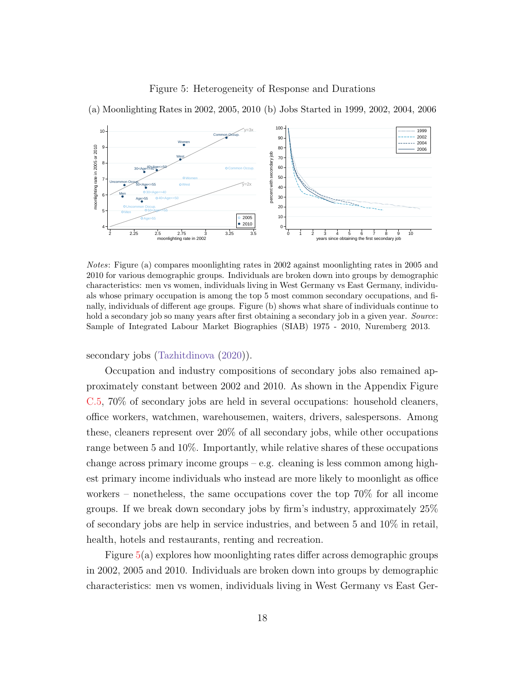#### Figure 5: Heterogeneity of Response and Durations



<span id="page-18-0"></span>(a) Moonlighting Rates in 2002, 2005, 2010 (b) Jobs Started in 1999, 2002, 2004, 2006

Notes: Figure (a) compares moonlighting rates in 2002 against moonlighting rates in 2005 and 2010 for various demographic groups. Individuals are broken down into groups by demographic characteristics: men vs women, individuals living in West Germany vs East Germany, individuals whose primary occupation is among the top 5 most common secondary occupations, and finally, individuals of different age groups. Figure (b) shows what share of individuals continue to hold a secondary job so many years after first obtaining a secondary job in a given year. Source: Sample of Integrated Labour Market Biographies (SIAB) 1975 - 2010, Nuremberg 2013.

secondary jobs [\(Tazhitdinova](#page-37-0) [\(2020\)](#page-37-0)).

Occupation and industry compositions of secondary jobs also remained approximately constant between 2002 and 2010. As shown in the Appendix Figure [C.5,](#page-49-0) 70% of secondary jobs are held in several occupations: household cleaners, office workers, watchmen, warehousemen, waiters, drivers, salespersons. Among these, cleaners represent over 20% of all secondary jobs, while other occupations range between 5 and 10%. Importantly, while relative shares of these occupations change across primary income groups  $-e.g.$  cleaning is less common among highest primary income individuals who instead are more likely to moonlight as office workers – nonetheless, the same occupations cover the top  $70\%$  for all income groups. If we break down secondary jobs by firm's industry, approximately 25% of secondary jobs are help in service industries, and between 5 and 10% in retail, health, hotels and restaurants, renting and recreation.

Figure  $5(a)$  $5(a)$  explores how moonlighting rates differ across demographic groups in 2002, 2005 and 2010. Individuals are broken down into groups by demographic characteristics: men vs women, individuals living in West Germany vs East Ger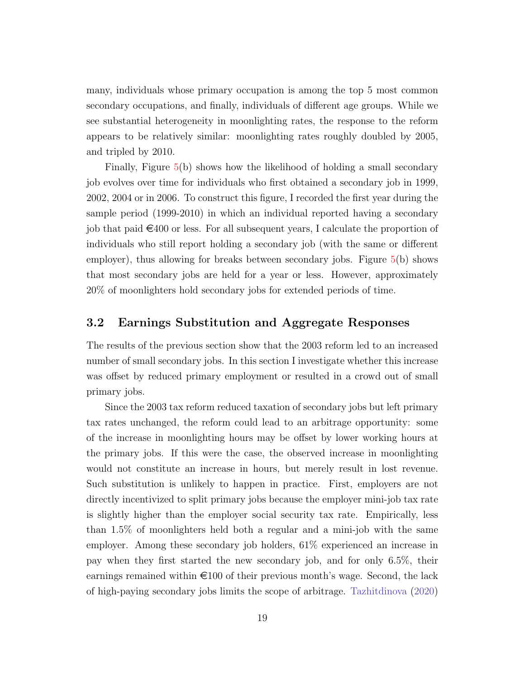many, individuals whose primary occupation is among the top 5 most common secondary occupations, and finally, individuals of different age groups. While we see substantial heterogeneity in moonlighting rates, the response to the reform appears to be relatively similar: moonlighting rates roughly doubled by 2005, and tripled by 2010.

Finally, Figure [5\(](#page-18-0)b) shows how the likelihood of holding a small secondary job evolves over time for individuals who first obtained a secondary job in 1999, 2002, 2004 or in 2006. To construct this figure, I recorded the first year during the sample period (1999-2010) in which an individual reported having a secondary job that paid  $\epsilon$ 400 or less. For all subsequent years, I calculate the proportion of individuals who still report holding a secondary job (with the same or different employer), thus allowing for breaks between secondary jobs. Figure  $5(b)$  $5(b)$  shows that most secondary jobs are held for a year or less. However, approximately 20% of moonlighters hold secondary jobs for extended periods of time.

#### <span id="page-19-0"></span>3.2 Earnings Substitution and Aggregate Responses

The results of the previous section show that the 2003 reform led to an increased number of small secondary jobs. In this section I investigate whether this increase was offset by reduced primary employment or resulted in a crowd out of small primary jobs.

Since the 2003 tax reform reduced taxation of secondary jobs but left primary tax rates unchanged, the reform could lead to an arbitrage opportunity: some of the increase in moonlighting hours may be offset by lower working hours at the primary jobs. If this were the case, the observed increase in moonlighting would not constitute an increase in hours, but merely result in lost revenue. Such substitution is unlikely to happen in practice. First, employers are not directly incentivized to split primary jobs because the employer mini-job tax rate is slightly higher than the employer social security tax rate. Empirically, less than 1.5% of moonlighters held both a regular and a mini-job with the same employer. Among these secondary job holders, 61% experienced an increase in pay when they first started the new secondary job, and for only 6.5%, their earnings remained within  $\epsilon$ 100 of their previous month's wage. Second, the lack of high-paying secondary jobs limits the scope of arbitrage. [Tazhitdinova](#page-37-0) [\(2020\)](#page-37-0)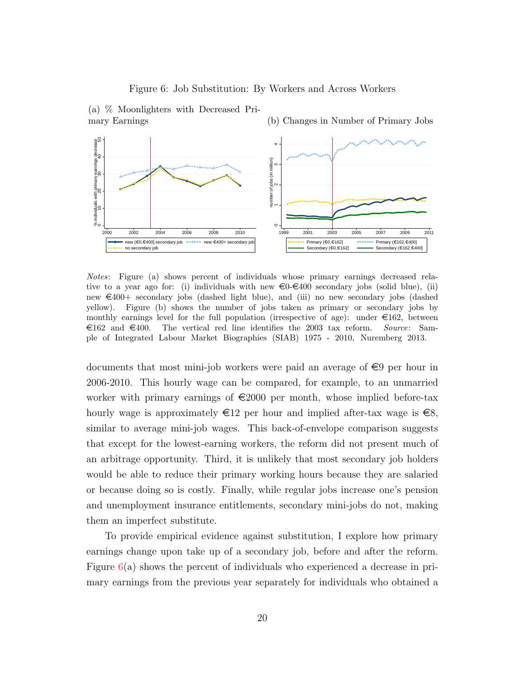#### Figure 6: Job Substitution: By Workers and Across Workers



<span id="page-20-0"></span>(a) % Moonlighters with Decreased Primary Earnings

Notes: Figure (a) shows percent of individuals whose primary earnings decreased relative to a year ago for: (i) individuals with new  $\epsilon = 0.400$  secondary jobs (solid blue), (ii) new  $\epsilon$ 400+ secondary jobs (dashed light blue), and (iii) no new secondary jobs (dashed yellow). Figure (b) shows the number of jobs taken as primary or secondary jobs by monthly earnings level for the full population (irrespective of age): under  $\epsilon$ 162, between  $\epsilon$ 162 and  $\epsilon$ 400. The vertical red line identifies the 2003 tax reform. Source: Sample of Integrated Labour Market Biographies (SIAB) 1975 - 2010, Nuremberg 2013.

documents that most mini-job workers were paid an average of  $\epsilon$ 9 per hour in 2006-2010. This hourly wage can be compared, for example, to an unmarried worker with primary earnings of  $\epsilon$ 2000 per month, whose implied before-tax hourly wage is approximately  $\epsilon 12$  per hour and implied after-tax wage is  $\epsilon 8$ , similar to average mini-job wages. This back-of-envelope comparison suggests that except for the lowest-earning workers, the reform did not present much of an arbitrage opportunity. Third, it is unlikely that most secondary job holders would be able to reduce their primary working hours because they are salaried or because doing so is costly. Finally, while regular jobs increase one's pension and unemployment insurance entitlements, secondary mini-jobs do not, making them an imperfect substitute.

To provide empirical evidence against substitution, I explore how primary earnings change upon take up of a secondary job, before and after the reform. Figure [6\(](#page-20-0)a) shows the percent of individuals who experienced a decrease in primary earnings from the previous year separately for individuals who obtained a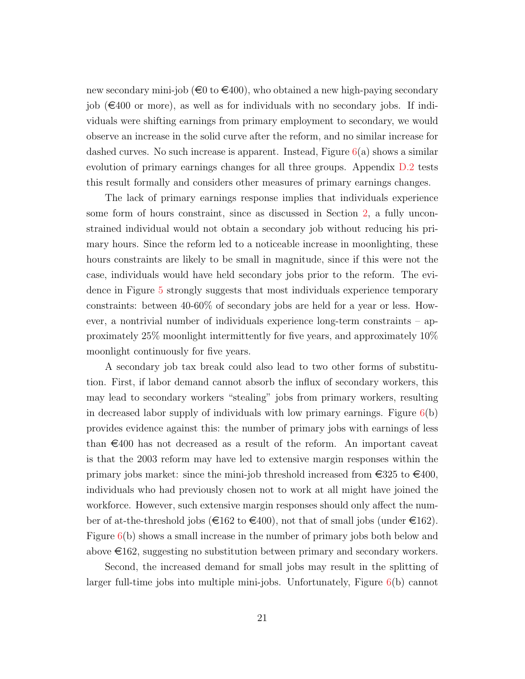new secondary mini-job ( $\infty$  to  $\infty$ 400), who obtained a new high-paying secondary job  $(\epsilon 400 \text{ or more})$ , as well as for individuals with no secondary jobs. If individuals were shifting earnings from primary employment to secondary, we would observe an increase in the solid curve after the reform, and no similar increase for dashed curves. No such increase is apparent. Instead, Figure  $6(a)$  $6(a)$  shows a similar evolution of primary earnings changes for all three groups. Appendix [D.2](#page-52-0) tests this result formally and considers other measures of primary earnings changes.

The lack of primary earnings response implies that individuals experience some form of hours constraint, since as discussed in Section [2,](#page-11-0) a fully unconstrained individual would not obtain a secondary job without reducing his primary hours. Since the reform led to a noticeable increase in moonlighting, these hours constraints are likely to be small in magnitude, since if this were not the case, individuals would have held secondary jobs prior to the reform. The evidence in Figure [5](#page-18-0) strongly suggests that most individuals experience temporary constraints: between 40-60% of secondary jobs are held for a year or less. However, a nontrivial number of individuals experience long-term constraints – approximately 25% moonlight intermittently for five years, and approximately 10% moonlight continuously for five years.

A secondary job tax break could also lead to two other forms of substitution. First, if labor demand cannot absorb the influx of secondary workers, this may lead to secondary workers "stealing" jobs from primary workers, resulting in decreased labor supply of individuals with low primary earnings. Figure  $6(b)$  $6(b)$ provides evidence against this: the number of primary jobs with earnings of less than  $\epsilon$ 400 has not decreased as a result of the reform. An important caveat is that the 2003 reform may have led to extensive margin responses within the primary jobs market: since the mini-job threshold increased from  $\epsilon$  325 to  $\epsilon$ 400, individuals who had previously chosen not to work at all might have joined the workforce. However, such extensive margin responses should only affect the number of at-the-threshold jobs ( $\epsilon = 162$  to  $\epsilon = 400$ ), not that of small jobs (under  $\epsilon = 162$ ). Figure  $6(b)$  $6(b)$  shows a small increase in the number of primary jobs both below and above  $\in$ 162, suggesting no substitution between primary and secondary workers.

Second, the increased demand for small jobs may result in the splitting of larger full-time jobs into multiple mini-jobs. Unfortunately, Figure [6\(](#page-20-0)b) cannot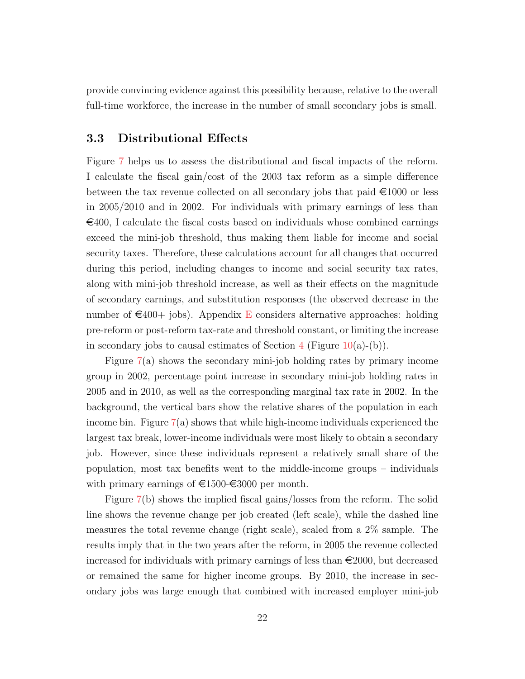provide convincing evidence against this possibility because, relative to the overall full-time workforce, the increase in the number of small secondary jobs is small.

## 3.3 Distributional Effects

Figure [7](#page-23-0) helps us to assess the distributional and fiscal impacts of the reform. I calculate the fiscal gain/cost of the 2003 tax reform as a simple difference between the tax revenue collected on all secondary jobs that paid  $\epsilon$ 1000 or less in 2005/2010 and in 2002. For individuals with primary earnings of less than  $\epsilon$ 400, I calculate the fiscal costs based on individuals whose combined earnings exceed the mini-job threshold, thus making them liable for income and social security taxes. Therefore, these calculations account for all changes that occurred during this period, including changes to income and social security tax rates, along with mini-job threshold increase, as well as their effects on the magnitude of secondary earnings, and substitution responses (the observed decrease in the number of  $\in$ 400+ jobs). Appendix [E](#page-55-0) considers alternative approaches: holding pre-reform or post-reform tax-rate and threshold constant, or limiting the increase in secondary jobs to causal estimates of Section  $4$  (Figure [10\(](#page-30-0)a)-(b)).

Figure [7\(](#page-23-0)a) shows the secondary mini-job holding rates by primary income group in 2002, percentage point increase in secondary mini-job holding rates in 2005 and in 2010, as well as the corresponding marginal tax rate in 2002. In the background, the vertical bars show the relative shares of the population in each income bin. Figure [7\(](#page-23-0)a) shows that while high-income individuals experienced the largest tax break, lower-income individuals were most likely to obtain a secondary job. However, since these individuals represent a relatively small share of the population, most tax benefits went to the middle-income groups – individuals with primary earnings of  $\text{£}1500\text{-£}3000$  per month.

Figure [7\(](#page-23-0)b) shows the implied fiscal gains/losses from the reform. The solid line shows the revenue change per job created (left scale), while the dashed line measures the total revenue change (right scale), scaled from a 2% sample. The results imply that in the two years after the reform, in 2005 the revenue collected increased for individuals with primary earnings of less than  $\epsilon$ 2000, but decreased or remained the same for higher income groups. By 2010, the increase in secondary jobs was large enough that combined with increased employer mini-job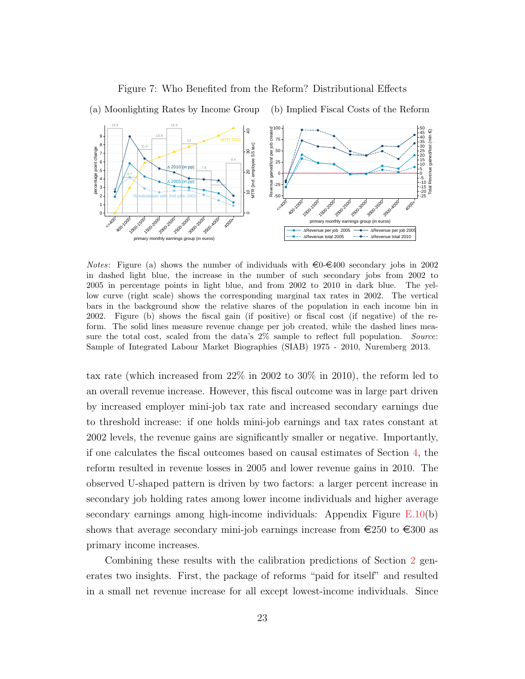<span id="page-23-0"></span>

#### Figure 7: Who Benefited from the Reform? Distributional Effects

*Notes*: Figure (a) shows the number of individuals with  $\epsilon_0 \in 400$  secondary jobs in 2002 in dashed light blue, the increase in the number of such secondary jobs from 2002 to 2005 in percentage points in light blue, and from 2002 to 2010 in dark blue. The yellow curve (right scale) shows the corresponding marginal tax rates in 2002. The vertical bars in the background show the relative shares of the population in each income bin in 2002. Figure (b) shows the fiscal gain (if positive) or fiscal cost (if negative) of the reform. The solid lines measure revenue change per job created, while the dashed lines measure the total cost, scaled from the data's  $2\%$  sample to reflect full population. Source: Sample of Integrated Labour Market Biographies (SIAB) 1975 - 2010, Nuremberg 2013.

tax rate (which increased from 22% in 2002 to 30% in 2010), the reform led to an overall revenue increase. However, this fiscal outcome was in large part driven by increased employer mini-job tax rate and increased secondary earnings due to threshold increase: if one holds mini-job earnings and tax rates constant at 2002 levels, the revenue gains are significantly smaller or negative. Importantly, if one calculates the fiscal outcomes based on causal estimates of Section [4,](#page-24-0) the reform resulted in revenue losses in 2005 and lower revenue gains in 2010. The observed U-shaped pattern is driven by two factors: a larger percent increase in secondary job holding rates among lower income individuals and higher average secondary earnings among high-income individuals: Appendix Figure [E.10\(](#page-56-0)b) shows that average secondary mini-job earnings increase from  $\epsilon$ 250 to  $\epsilon$ 300 as primary income increases.

Combining these results with the calibration predictions of Section [2](#page-11-0) generates two insights. First, the package of reforms "paid for itself" and resulted in a small net revenue increase for all except lowest-income individuals. Since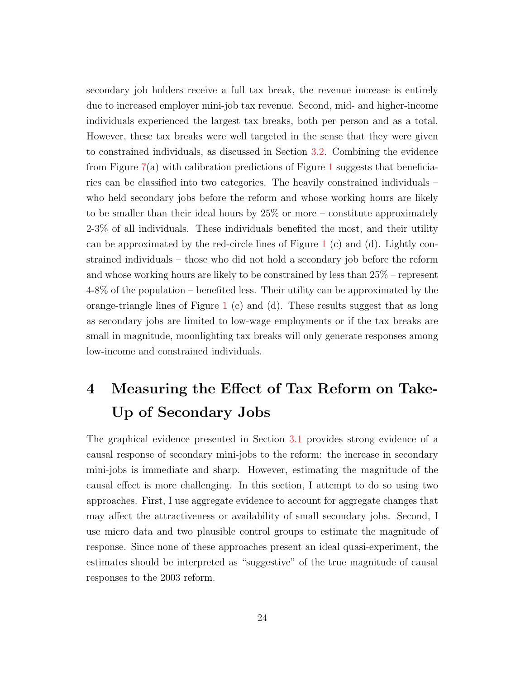secondary job holders receive a full tax break, the revenue increase is entirely due to increased employer mini-job tax revenue. Second, mid- and higher-income individuals experienced the largest tax breaks, both per person and as a total. However, these tax breaks were well targeted in the sense that they were given to constrained individuals, as discussed in Section [3.2.](#page-19-0) Combining the evidence from Figure  $7(a)$  $7(a)$  with calibration predictions of Figure [1](#page-13-0) suggests that beneficiaries can be classified into two categories. The heavily constrained individuals – who held secondary jobs before the reform and whose working hours are likely to be smaller than their ideal hours by 25% or more – constitute approximately 2-3% of all individuals. These individuals benefited the most, and their utility can be approximated by the red-circle lines of Figure [1](#page-13-0) (c) and (d). Lightly constrained individuals – those who did not hold a secondary job before the reform and whose working hours are likely to be constrained by less than 25% – represent 4-8% of the population – benefited less. Their utility can be approximated by the orange-triangle lines of Figure [1](#page-13-0) (c) and (d). These results suggest that as long as secondary jobs are limited to low-wage employments or if the tax breaks are small in magnitude, moonlighting tax breaks will only generate responses among low-income and constrained individuals.

# <span id="page-24-0"></span>4 Measuring the Effect of Tax Reform on Take-Up of Secondary Jobs

The graphical evidence presented in Section [3.1](#page-14-1) provides strong evidence of a causal response of secondary mini-jobs to the reform: the increase in secondary mini-jobs is immediate and sharp. However, estimating the magnitude of the causal effect is more challenging. In this section, I attempt to do so using two approaches. First, I use aggregate evidence to account for aggregate changes that may affect the attractiveness or availability of small secondary jobs. Second, I use micro data and two plausible control groups to estimate the magnitude of response. Since none of these approaches present an ideal quasi-experiment, the estimates should be interpreted as "suggestive" of the true magnitude of causal responses to the 2003 reform.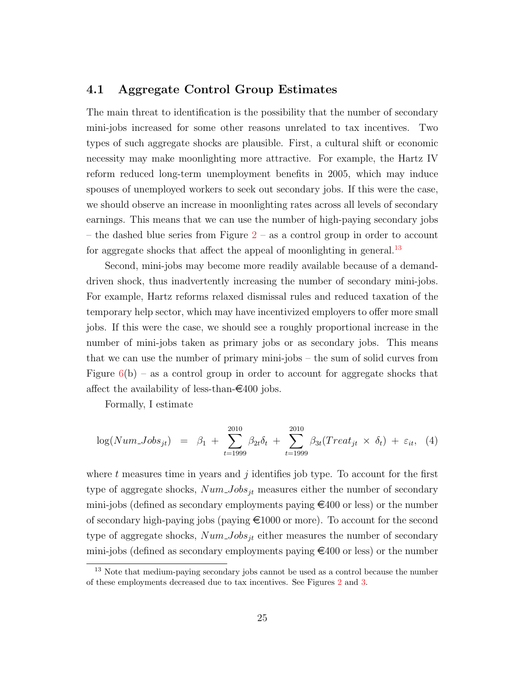#### <span id="page-25-2"></span>4.1 Aggregate Control Group Estimates

The main threat to identification is the possibility that the number of secondary mini-jobs increased for some other reasons unrelated to tax incentives. Two types of such aggregate shocks are plausible. First, a cultural shift or economic necessity may make moonlighting more attractive. For example, the Hartz IV reform reduced long-term unemployment benefits in 2005, which may induce spouses of unemployed workers to seek out secondary jobs. If this were the case, we should observe an increase in moonlighting rates across all levels of secondary earnings. This means that we can use the number of high-paying secondary jobs – the dashed blue series from Figure  $2$  – as a control group in order to account for aggregate shocks that affect the appeal of moonlighting in general. $^{13}$  $^{13}$  $^{13}$ 

Second, mini-jobs may become more readily available because of a demanddriven shock, thus inadvertently increasing the number of secondary mini-jobs. For example, Hartz reforms relaxed dismissal rules and reduced taxation of the temporary help sector, which may have incentivized employers to offer more small jobs. If this were the case, we should see a roughly proportional increase in the number of mini-jobs taken as primary jobs or as secondary jobs. This means that we can use the number of primary mini-jobs – the sum of solid curves from Figure  $6(b)$  $6(b)$  – as a control group in order to account for aggregate shocks that affect the availability of less-than- $\epsilon$ 400 jobs.

<span id="page-25-1"></span>Formally, I estimate

$$
\log(Num\_{Jobs_{jt}}) = \beta_1 + \sum_{t=1999}^{2010} \beta_{2t}\delta_t + \sum_{t=1999}^{2010} \beta_{3t}(Treat_{jt} \times \delta_t) + \varepsilon_{it}, \quad (4)
$$

where t measures time in years and j identifies job type. To account for the first type of aggregate shocks,  $Num\_Jobs_{jt}$  measures either the number of secondary mini-jobs (defined as secondary employments paying  $\epsilon$ 400 or less) or the number of secondary high-paying jobs (paying  $\epsilon$ 1000 or more). To account for the second type of aggregate shocks,  $Num\_Jobs_{jt}$  either measures the number of secondary mini-jobs (defined as secondary employments paying  $\epsilon$ 400 or less) or the number

<span id="page-25-0"></span><sup>&</sup>lt;sup>13</sup> Note that medium-paying secondary jobs cannot be used as a control because the number of these employments decreased due to tax incentives. See Figures [2](#page-15-0) and [3.](#page-16-0)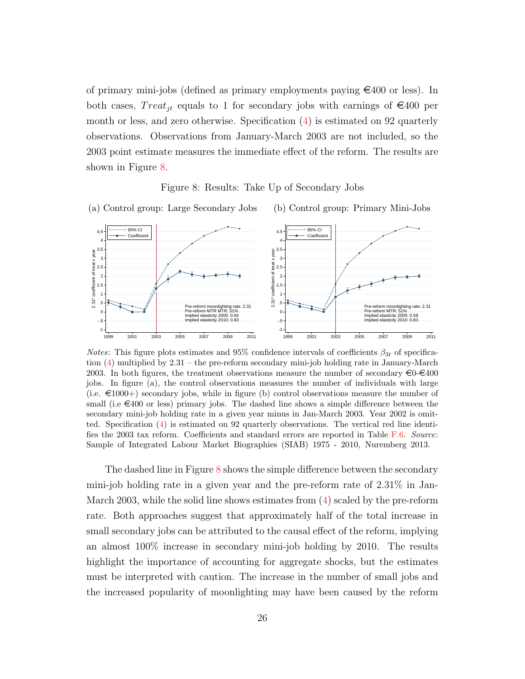of primary mini-jobs (defined as primary employments paying  $\epsilon$ 400 or less). In both cases,  $Treat_{it}$  equals to 1 for secondary jobs with earnings of  $\epsilon$ 400 per month or less, and zero otherwise. Specification [\(4\)](#page-25-1) is estimated on 92 quarterly observations. Observations from January-March 2003 are not included, so the 2003 point estimate measures the immediate effect of the reform. The results are shown in Figure [8.](#page-26-0)

Figure 8: Results: Take Up of Secondary Jobs

<span id="page-26-0"></span>

*Notes*: This figure plots estimates and 95% confidence intervals of coefficients  $\beta_{3t}$  of specification [\(4\)](#page-25-1) multiplied by 2.31 – the pre-reform secondary mini-job holding rate in January-March 2003. In both figures, the treatment observations measure the number of secondary  $\epsilon 0$ - $\epsilon 400$ jobs. In figure (a), the control observations measures the number of individuals with large (i.e.  $\in 1000+$ ) secondary jobs, while in figure (b) control observations measure the number of small (i.e  $\in 400$  or less) primary jobs. The dashed line shows a simple difference between the secondary mini-job holding rate in a given year minus in Jan-March 2003. Year 2002 is omitted. Specification [\(4\)](#page-25-1) is estimated on 92 quarterly observations. The vertical red line identifies the 2003 tax reform. Coefficients and standard errors are reported in Table [F.6.](#page-61-0) Source: Sample of Integrated Labour Market Biographies (SIAB) 1975 - 2010, Nuremberg 2013.

The dashed line in Figure [8](#page-26-0) shows the simple difference between the secondary mini-job holding rate in a given year and the pre-reform rate of 2.31% in Jan-March 2003, while the solid line shows estimates from  $(4)$  scaled by the pre-reform rate. Both approaches suggest that approximately half of the total increase in small secondary jobs can be attributed to the causal effect of the reform, implying an almost 100% increase in secondary mini-job holding by 2010. The results highlight the importance of accounting for aggregate shocks, but the estimates must be interpreted with caution. The increase in the number of small jobs and the increased popularity of moonlighting may have been caused by the reform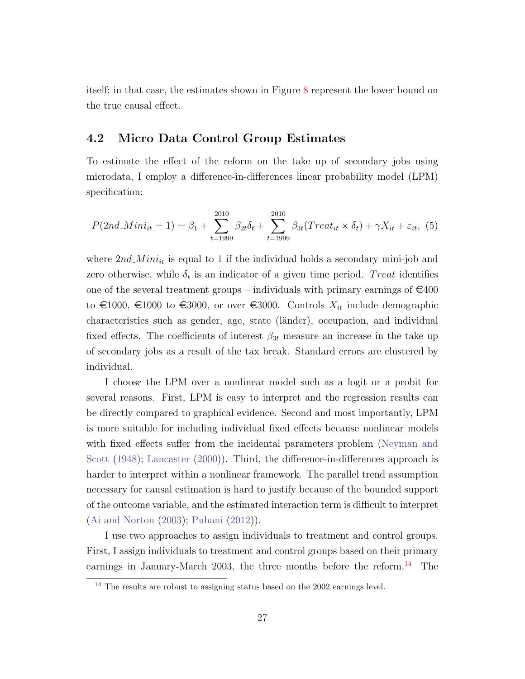<span id="page-27-3"></span>itself; in that case, the estimates shown in Figure [8](#page-26-0) represent the lower bound on the true causal effect.

## <span id="page-27-2"></span>4.2 Micro Data Control Group Estimates

To estimate the effect of the reform on the take up of secondary jobs using microdata, I employ a difference-in-differences linear probability model (LPM) specification:

<span id="page-27-1"></span>
$$
P(2nd\_{Minit} = 1) = \beta_1 + \sum_{t=1999}^{2010} \beta_{2t}\delta_t + \sum_{t=1999}^{2010} \beta_{3t}(Treat_{it} \times \delta_t) + \gamma X_{it} + \varepsilon_{it}, \tag{5}
$$

where  $2nd\_Min_{it}$  is equal to 1 if the individual holds a secondary mini-job and zero otherwise, while  $\delta_t$  is an indicator of a given time period. Treat identifies one of the several treatment groups – individuals with primary earnings of  $\epsilon$ 400 to  $\epsilon$ 1000,  $\epsilon$ 1000 to  $\epsilon$ 3000, or over  $\epsilon$ 3000. Controls  $X_{it}$  include demographic characteristics such as gender, age, state (länder), occupation, and individual fixed effects. The coefficients of interest  $\beta_{3t}$  measure an increase in the take up of secondary jobs as a result of the tax break. Standard errors are clustered by individual.

I choose the LPM over a nonlinear model such as a logit or a probit for several reasons. First, LPM is easy to interpret and the regression results can be directly compared to graphical evidence. Second and most importantly, LPM is more suitable for including individual fixed effects because nonlinear models with fixed effects suffer from the incidental parameters problem [\(Neyman and](#page-36-12) [Scott](#page-36-12) [\(1948\)](#page-36-12); [Lancaster](#page-36-13) [\(2000\)](#page-36-13)). Third, the difference-in-differences approach is harder to interpret within a nonlinear framework. The parallel trend assumption necessary for causal estimation is hard to justify because of the bounded support of the outcome variable, and the estimated interaction term is difficult to interpret [\(Ai and Norton](#page-34-9) [\(2003\)](#page-34-9); [Puhani](#page-36-14) [\(2012\)](#page-36-14)).

I use two approaches to assign individuals to treatment and control groups. First, I assign individuals to treatment and control groups based on their primary earnings in January-March 2003, the three months before the reform.<sup>[14](#page-27-0)</sup> The

<span id="page-27-0"></span><sup>&</sup>lt;sup>14</sup> The results are robust to assigning status based on the 2002 earnings level.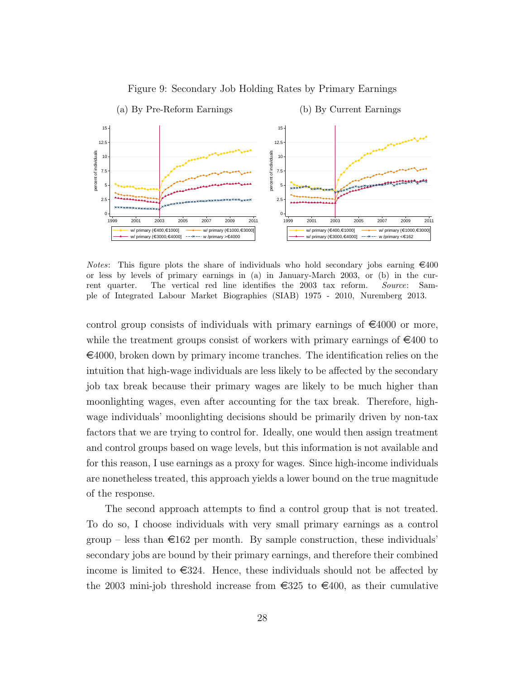<span id="page-28-0"></span>

Figure 9: Secondary Job Holding Rates by Primary Earnings

*Notes*: This figure plots the share of individuals who hold secondary jobs earning  $\epsilon 400$ or less by levels of primary earnings in (a) in January-March 2003, or (b) in the current quarter. The vertical red line identifies the 2003 tax reform. Source: Sample of Integrated Labour Market Biographies (SIAB) 1975 - 2010, Nuremberg 2013.

control group consists of individuals with primary earnings of  $\epsilon$ 4000 or more, while the treatment groups consist of workers with primary earnings of  $\epsilon$ 400 to  $\epsilon$ 4000, broken down by primary income tranches. The identification relies on the intuition that high-wage individuals are less likely to be affected by the secondary job tax break because their primary wages are likely to be much higher than moonlighting wages, even after accounting for the tax break. Therefore, highwage individuals' moonlighting decisions should be primarily driven by non-tax factors that we are trying to control for. Ideally, one would then assign treatment and control groups based on wage levels, but this information is not available and for this reason, I use earnings as a proxy for wages. Since high-income individuals are nonetheless treated, this approach yields a lower bound on the true magnitude of the response.

The second approach attempts to find a control group that is not treated. To do so, I choose individuals with very small primary earnings as a control group – less than  $\epsilon 162$  per month. By sample construction, these individuals' secondary jobs are bound by their primary earnings, and therefore their combined income is limited to  $\epsilon$ 324. Hence, these individuals should not be affected by the 2003 mini-job threshold increase from  $\epsilon$ 325 to  $\epsilon$ 400, as their cumulative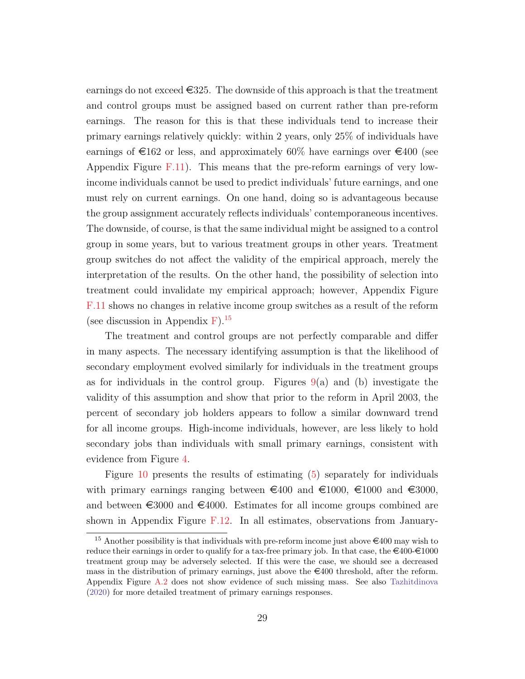earnings do not exceed  $\in$ 325. The downside of this approach is that the treatment and control groups must be assigned based on current rather than pre-reform earnings. The reason for this is that these individuals tend to increase their primary earnings relatively quickly: within 2 years, only 25% of individuals have earnings of  $\epsilon$ 162 or less, and approximately 60% have earnings over  $\epsilon$ 400 (see Appendix Figure [F.11\)](#page-58-0). This means that the pre-reform earnings of very lowincome individuals cannot be used to predict individuals' future earnings, and one must rely on current earnings. On one hand, doing so is advantageous because the group assignment accurately reflects individuals' contemporaneous incentives. The downside, of course, is that the same individual might be assigned to a control group in some years, but to various treatment groups in other years. Treatment group switches do not affect the validity of the empirical approach, merely the interpretation of the results. On the other hand, the possibility of selection into treatment could invalidate my empirical approach; however, Appendix Figure [F.11](#page-58-0) shows no changes in relative income group switches as a result of the reform (see discussion in Appendix  $F$ ).<sup>[15](#page-29-0)</sup>

The treatment and control groups are not perfectly comparable and differ in many aspects. The necessary identifying assumption is that the likelihood of secondary employment evolved similarly for individuals in the treatment groups as for individuals in the control group. Figures  $9(a)$  $9(a)$  and (b) investigate the validity of this assumption and show that prior to the reform in April 2003, the percent of secondary job holders appears to follow a similar downward trend for all income groups. High-income individuals, however, are less likely to hold secondary jobs than individuals with small primary earnings, consistent with evidence from Figure [4.](#page-17-0)

Figure [10](#page-30-0) presents the results of estimating [\(5\)](#page-27-1) separately for individuals with primary earnings ranging between  $\epsilon 400$  and  $\epsilon 1000$ ,  $\epsilon 1000$  and  $\epsilon 3000$ , and between  $\epsilon$ 3000 and  $\epsilon$ 4000. Estimates for all income groups combined are shown in Appendix Figure [F.12.](#page-59-0) In all estimates, observations from January-

<span id="page-29-0"></span><sup>&</sup>lt;sup>15</sup> Another possibility is that individuals with pre-reform income just above  $\epsilon$ 400 may wish to reduce their earnings in order to qualify for a tax-free primary job. In that case, the  $\epsilon$ 400- $\epsilon$ 1000 treatment group may be adversely selected. If this were the case, we should see a decreased mass in the distribution of primary earnings, just above the  $\epsilon$ 400 threshold, after the reform. Appendix Figure [A.2](#page-42-0) does not show evidence of such missing mass. See also [Tazhitdinova](#page-37-0) [\(2020\)](#page-37-0) for more detailed treatment of primary earnings responses.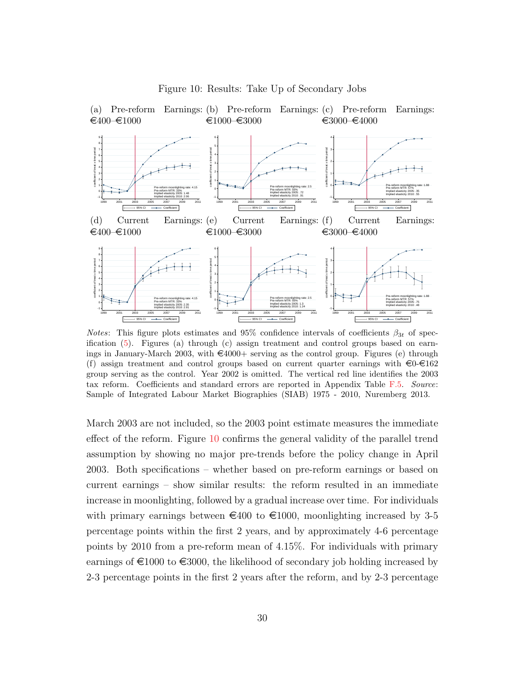<span id="page-30-0"></span>

<span id="page-30-1"></span>Figure 10: Results: Take Up of Secondary Jobs

*Notes*: This figure plots estimates and 95% confidence intervals of coefficients  $\beta_{3t}$  of specification [\(5\)](#page-27-1). Figures (a) through (c) assign treatment and control groups based on earnings in January-March 2003, with  $\epsilon$ 4000+ serving as the control group. Figures (e) through (f) assign treatment and control groups based on current quarter earnings with  $\epsilon 0 \cdot \epsilon 162$ group serving as the control. Year 2002 is omitted. The vertical red line identifies the 2003 tax reform. Coefficients and standard errors are reported in Appendix Table [F.5.](#page-60-0) Source: Sample of Integrated Labour Market Biographies (SIAB) 1975 - 2010, Nuremberg 2013.

March 2003 are not included, so the 2003 point estimate measures the immediate effect of the reform. Figure [10](#page-30-0) confirms the general validity of the parallel trend assumption by showing no major pre-trends before the policy change in April 2003. Both specifications – whether based on pre-reform earnings or based on current earnings – show similar results: the reform resulted in an immediate increase in moonlighting, followed by a gradual increase over time. For individuals with primary earnings between  $\epsilon$ 400 to  $\epsilon$ 1000, moonlighting increased by 3-5 percentage points within the first 2 years, and by approximately 4-6 percentage points by 2010 from a pre-reform mean of 4.15%. For individuals with primary earnings of  $\epsilon$ 1000 to  $\epsilon$ 3000, the likelihood of secondary job holding increased by 2-3 percentage points in the first 2 years after the reform, and by 2-3 percentage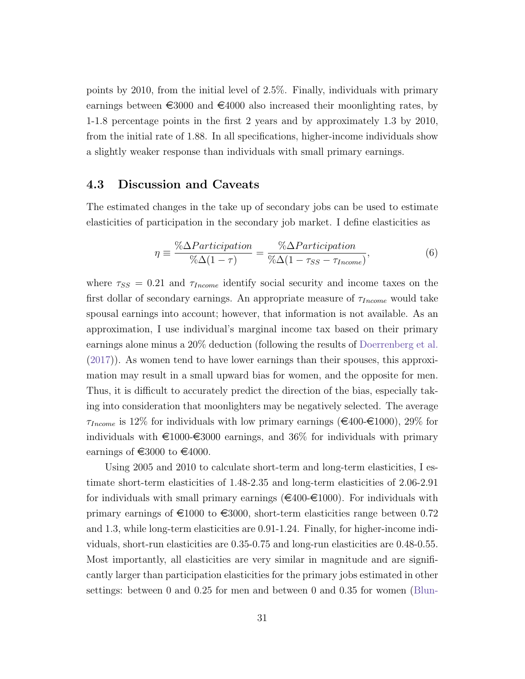points by 2010, from the initial level of 2.5%. Finally, individuals with primary earnings between  $\epsilon$ 3000 and  $\epsilon$ 4000 also increased their moonlighting rates, by 1-1.8 percentage points in the first 2 years and by approximately 1.3 by 2010, from the initial rate of 1.88. In all specifications, higher-income individuals show a slightly weaker response than individuals with small primary earnings.

#### 4.3 Discussion and Caveats

The estimated changes in the take up of secondary jobs can be used to estimate elasticities of participation in the secondary job market. I define elasticities as

$$
\eta \equiv \frac{\% \Delta Participation}{\% \Delta (1 - \tau)} = \frac{\% \Delta Participation}{\% \Delta (1 - \tau_{SS} - \tau_{Income})},\tag{6}
$$

where  $\tau_{SS} = 0.21$  and  $\tau_{Income}$  identify social security and income taxes on the first dollar of secondary earnings. An appropriate measure of  $\tau_{Income}$  would take spousal earnings into account; however, that information is not available. As an approximation, I use individual's marginal income tax based on their primary earnings alone minus a 20% deduction (following the results of [Doerrenberg et al.](#page-35-12) [\(2017\)](#page-35-12)). As women tend to have lower earnings than their spouses, this approximation may result in a small upward bias for women, and the opposite for men. Thus, it is difficult to accurately predict the direction of the bias, especially taking into consideration that moonlighters may be negatively selected. The average  $\tau_{Income}$  is 12% for individuals with low primary earnings ( $\in$ 400- $\in$ 1000), 29% for individuals with  $\epsilon$ 1000- $\epsilon$ 3000 earnings, and 36% for individuals with primary earnings of  $\text{ } \in \text{3000}$  to  $\text{ } \in \text{4000}$ .

Using 2005 and 2010 to calculate short-term and long-term elasticities, I estimate short-term elasticities of 1.48-2.35 and long-term elasticities of 2.06-2.91 for individuals with small primary earnings ( $\in 400-\in 1000$ ). For individuals with primary earnings of  $\epsilon$ 1000 to  $\epsilon$ 3000, short-term elasticities range between 0.72 and 1.3, while long-term elasticities are 0.91-1.24. Finally, for higher-income individuals, short-run elasticities are 0.35-0.75 and long-run elasticities are 0.48-0.55. Most importantly, all elasticities are very similar in magnitude and are significantly larger than participation elasticities for the primary jobs estimated in other settings: between 0 and 0.25 for men and between 0 and 0.35 for women [\(Blun-](#page-34-2)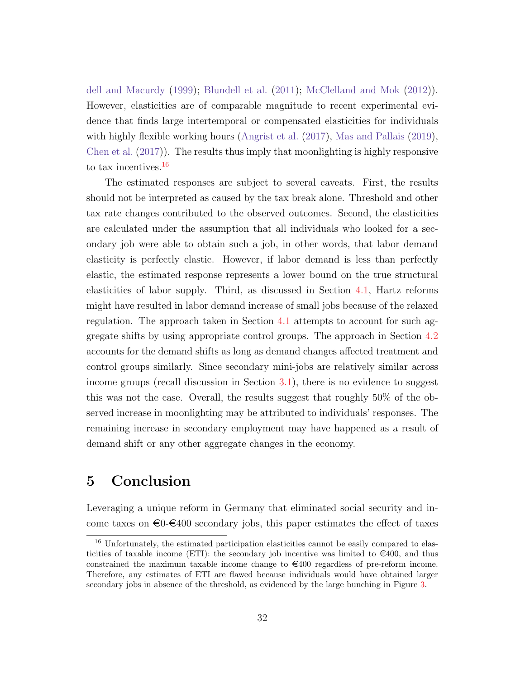[dell and Macurdy](#page-34-2) [\(1999\)](#page-34-2); [Blundell et al.](#page-34-3) [\(2011\)](#page-34-3); [McClelland and Mok](#page-36-1) [\(2012\)](#page-36-1)). However, elasticities are of comparable magnitude to recent experimental evidence that finds large intertemporal or compensated elasticities for individuals with highly flexible working hours [\(Angrist et al.](#page-34-4)  $(2017)$ , [Mas and Pallais](#page-36-8)  $(2019)$ , [Chen et al.](#page-34-10)  $(2017)$ ). The results thus imply that moonlighting is highly responsive to tax incentives.[16](#page-32-0)

The estimated responses are subject to several caveats. First, the results should not be interpreted as caused by the tax break alone. Threshold and other tax rate changes contributed to the observed outcomes. Second, the elasticities are calculated under the assumption that all individuals who looked for a secondary job were able to obtain such a job, in other words, that labor demand elasticity is perfectly elastic. However, if labor demand is less than perfectly elastic, the estimated response represents a lower bound on the true structural elasticities of labor supply. Third, as discussed in Section [4.1,](#page-25-2) Hartz reforms might have resulted in labor demand increase of small jobs because of the relaxed regulation. The approach taken in Section [4.1](#page-25-2) attempts to account for such aggregate shifts by using appropriate control groups. The approach in Section [4.2](#page-27-2) accounts for the demand shifts as long as demand changes affected treatment and control groups similarly. Since secondary mini-jobs are relatively similar across income groups (recall discussion in Section [3.1\)](#page-14-1), there is no evidence to suggest this was not the case. Overall, the results suggest that roughly 50% of the observed increase in moonlighting may be attributed to individuals' responses. The remaining increase in secondary employment may have happened as a result of demand shift or any other aggregate changes in the economy.

# 5 Conclusion

Leveraging a unique reform in Germany that eliminated social security and income taxes on  $\epsilon$ 0- $\epsilon$ 400 secondary jobs, this paper estimates the effect of taxes

<span id="page-32-0"></span><sup>&</sup>lt;sup>16</sup> Unfortunately, the estimated participation elasticities cannot be easily compared to elasticities of taxable income (ETI): the secondary job incentive was limited to  $\in \{400, \text{ and thus}$ constrained the maximum taxable income change to  $\epsilon$ 400 regardless of pre-reform income. Therefore, any estimates of ETI are flawed because individuals would have obtained larger secondary jobs in absence of the threshold, as evidenced by the large bunching in Figure [3.](#page-16-0)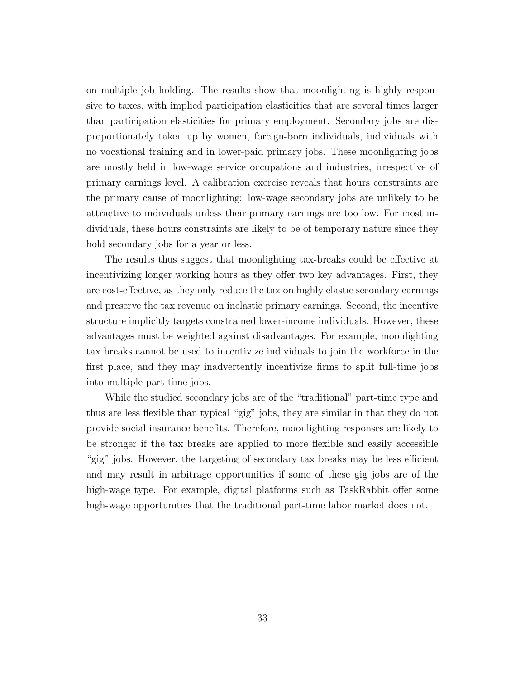on multiple job holding. The results show that moonlighting is highly responsive to taxes, with implied participation elasticities that are several times larger than participation elasticities for primary employment. Secondary jobs are disproportionately taken up by women, foreign-born individuals, individuals with no vocational training and in lower-paid primary jobs. These moonlighting jobs are mostly held in low-wage service occupations and industries, irrespective of primary earnings level. A calibration exercise reveals that hours constraints are the primary cause of moonlighting: low-wage secondary jobs are unlikely to be attractive to individuals unless their primary earnings are too low. For most individuals, these hours constraints are likely to be of temporary nature since they hold secondary jobs for a year or less.

The results thus suggest that moonlighting tax-breaks could be effective at incentivizing longer working hours as they offer two key advantages. First, they are cost-effective, as they only reduce the tax on highly elastic secondary earnings and preserve the tax revenue on inelastic primary earnings. Second, the incentive structure implicitly targets constrained lower-income individuals. However, these advantages must be weighted against disadvantages. For example, moonlighting tax breaks cannot be used to incentivize individuals to join the workforce in the first place, and they may inadvertently incentivize firms to split full-time jobs into multiple part-time jobs.

While the studied secondary jobs are of the "traditional" part-time type and thus are less flexible than typical "gig" jobs, they are similar in that they do not provide social insurance benefits. Therefore, moonlighting responses are likely to be stronger if the tax breaks are applied to more flexible and easily accessible "gig" jobs. However, the targeting of secondary tax breaks may be less efficient and may result in arbitrage opportunities if some of these gig jobs are of the high-wage type. For example, digital platforms such as TaskRabbit offer some high-wage opportunities that the traditional part-time labor market does not.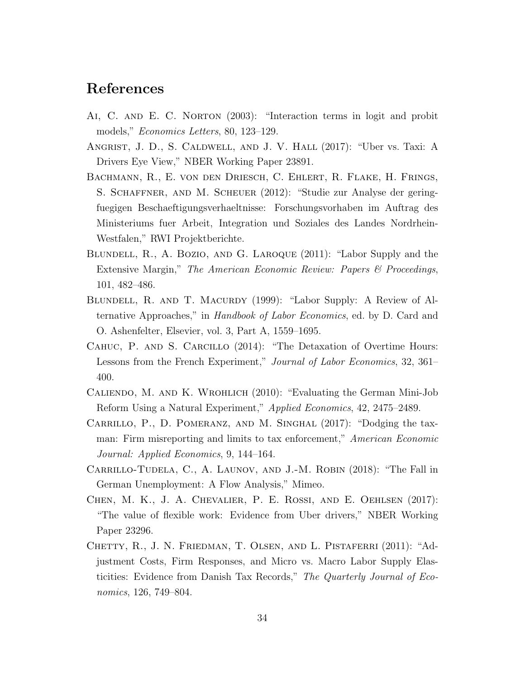# References

- <span id="page-34-9"></span>Ai, C. and E. C. Norton (2003): "Interaction terms in logit and probit models," Economics Letters, 80, 123–129.
- <span id="page-34-4"></span>Angrist, J. D., S. Caldwell, and J. V. Hall (2017): "Uber vs. Taxi: A Drivers Eye View," NBER Working Paper 23891.
- <span id="page-34-8"></span>Bachmann, R., E. von den Driesch, C. Ehlert, R. Flake, H. Frings, S. Schaffner, and M. Scheuer (2012): "Studie zur Analyse der geringfuegigen Beschaeftigungsverhaeltnisse: Forschungsvorhaben im Auftrag des Ministeriums fuer Arbeit, Integration und Soziales des Landes Nordrhein-Westfalen," RWI Projektberichte.
- <span id="page-34-3"></span>Blundell, R., A. Bozio, and G. Laroque (2011): "Labor Supply and the Extensive Margin," The American Economic Review: Papers & Proceedings, 101, 482–486.
- <span id="page-34-2"></span>Blundell, R. and T. Macurdy (1999): "Labor Supply: A Review of Alternative Approaches," in Handbook of Labor Economics, ed. by D. Card and O. Ashenfelter, Elsevier, vol. 3, Part A, 1559–1695.
- <span id="page-34-0"></span>CAHUC, P. AND S. CARCILLO (2014): "The Detaxation of Overtime Hours: Lessons from the French Experiment," Journal of Labor Economics, 32, 361– 400.
- <span id="page-34-6"></span>Caliendo, M. and K. Wrohlich (2010): "Evaluating the German Mini-Job Reform Using a Natural Experiment," Applied Economics, 42, 2475–2489.
- <span id="page-34-7"></span>Carrillo, P., D. Pomeranz, and M. Singhal (2017): "Dodging the taxman: Firm misreporting and limits to tax enforcement," American Economic Journal: Applied Economics, 9, 144–164.
- <span id="page-34-5"></span>Carrillo-Tudela, C., A. Launov, and J.-M. Robin (2018): "The Fall in German Unemployment: A Flow Analysis," Mimeo.
- <span id="page-34-10"></span>Chen, M. K., J. A. Chevalier, P. E. Rossi, and E. Oehlsen (2017): "The value of flexible work: Evidence from Uber drivers," NBER Working Paper 23296.
- <span id="page-34-1"></span>Chetty, R., J. N. Friedman, T. Olsen, and L. Pistaferri (2011): "Adjustment Costs, Firm Responses, and Micro vs. Macro Labor Supply Elasticities: Evidence from Danish Tax Records," The Quarterly Journal of Economics, 126, 749–804.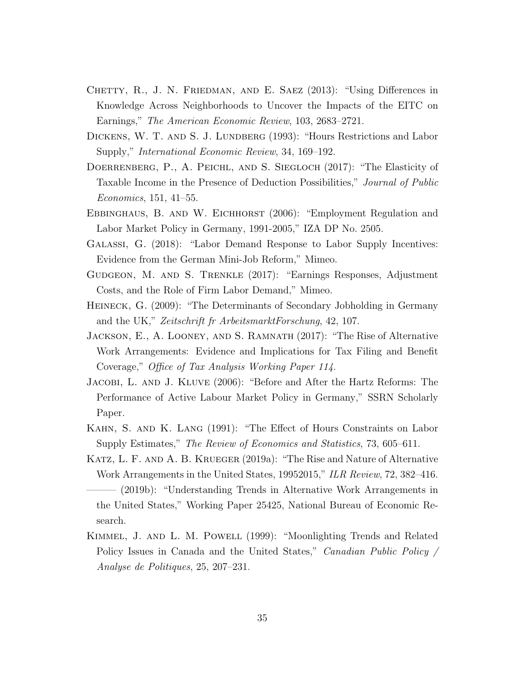- <span id="page-35-0"></span>CHETTY, R., J. N. FRIEDMAN, AND E. SAEZ (2013): "Using Differences in Knowledge Across Neighborhoods to Uncover the Impacts of the EITC on Earnings," The American Economic Review, 103, 2683–2721.
- <span id="page-35-2"></span>DICKENS, W. T. AND S. J. LUNDBERG (1993): "Hours Restrictions and Labor Supply," International Economic Review, 34, 169–192.
- <span id="page-35-12"></span>DOERRENBERG, P., A. PEICHL, AND S. SIEGLOCH (2017): "The Elasticity of Taxable Income in the Presence of Deduction Possibilities," Journal of Public Economics, 151, 41–55.
- <span id="page-35-11"></span>EBBINGHAUS, B. AND W. EICHHORST (2006): "Employment Regulation and Labor Market Policy in Germany, 1991-2005," IZA DP No. 2505.
- <span id="page-35-9"></span>Galassi, G. (2018): "Labor Demand Response to Labor Supply Incentives: Evidence from the German Mini-Job Reform," Mimeo.
- <span id="page-35-8"></span>Gudgeon, M. and S. Trenkle (2017): "Earnings Responses, Adjustment Costs, and the Role of Firm Labor Demand," Mimeo.
- <span id="page-35-3"></span>Heineck, G. (2009): "The Determinants of Secondary Jobholding in Germany and the UK," Zeitschrift fr ArbeitsmarktForschung, 42, 107.
- <span id="page-35-5"></span>Jackson, E., A. Looney, and S. Ramnath (2017): "The Rise of Alternative Work Arrangements: Evidence and Implications for Tax Filing and Benefit Coverage," Office of Tax Analysis Working Paper 114.
- <span id="page-35-10"></span>Jacobi, L. and J. Kluve (2006): "Before and After the Hartz Reforms: The Performance of Active Labour Market Policy in Germany," SSRN Scholarly Paper.
- <span id="page-35-1"></span>Kahn, S. and K. Lang (1991): "The Effect of Hours Constraints on Labor Supply Estimates," The Review of Economics and Statistics, 73, 605–611.
- <span id="page-35-6"></span>KATZ, L. F. AND A. B. KRUEGER (2019a): "The Rise and Nature of Alternative Work Arrangements in the United States, 19952015," ILR Review, 72, 382–416.
- <span id="page-35-7"></span>– (2019b): "Understanding Trends in Alternative Work Arrangements in the United States," Working Paper 25425, National Bureau of Economic Research.
- <span id="page-35-4"></span>Kimmel, J. and L. M. Powell (1999): "Moonlighting Trends and Related Policy Issues in Canada and the United States," Canadian Public Policy / Analyse de Politiques, 25, 207–231.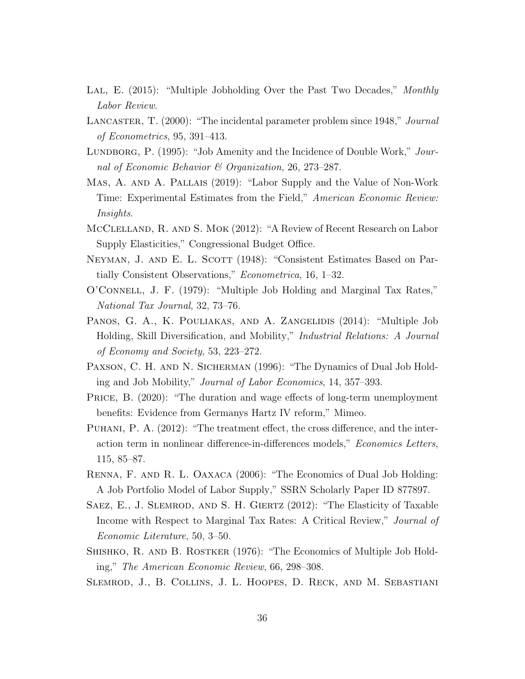- <span id="page-36-0"></span>LAL, E. (2015): "Multiple Jobholding Over the Past Two Decades," Monthly Labor Review.
- <span id="page-36-13"></span>LANCASTER, T. (2000): "The incidental parameter problem since 1948," *Journal* of Econometrics, 95, 391–413.
- <span id="page-36-5"></span>LUNDBORG, P. (1995): "Job Amenity and the Incidence of Double Work," Journal of Economic Behavior & Organization, 26, 273–287.
- <span id="page-36-8"></span>Mas, A. and A. Pallais (2019): "Labor Supply and the Value of Non-Work Time: Experimental Estimates from the Field," American Economic Review: Insights.
- <span id="page-36-1"></span>McClelland, R. and S. Mok (2012): "A Review of Recent Research on Labor Supply Elasticities," Congressional Budget Office.
- <span id="page-36-12"></span>NEYMAN, J. AND E. L. SCOTT (1948): "Consistent Estimates Based on Partially Consistent Observations," Econometrica, 16, 1–32.
- <span id="page-36-9"></span>O'Connell, J. F. (1979): "Multiple Job Holding and Marginal Tax Rates," National Tax Journal, 32, 73–76.
- <span id="page-36-7"></span>PANOS, G. A., K. POULIAKAS, AND A. ZANGELIDIS (2014): "Multiple Job Holding, Skill Diversification, and Mobility," Industrial Relations: A Journal of Economy and Society, 53, 223–272.
- <span id="page-36-4"></span>PAXSON, C. H. AND N. SICHERMAN (1996): "The Dynamics of Dual Job Holding and Job Mobility," Journal of Labor Economics, 14, 357–393.
- <span id="page-36-11"></span>PRICE, B. (2020): "The duration and wage effects of long-term unemployment benefits: Evidence from Germanys Hartz IV reform," Mimeo.
- <span id="page-36-14"></span>PUHANI, P. A.  $(2012)$ : "The treatment effect, the cross difference, and the interaction term in nonlinear difference-in-differences models," Economics Letters, 115, 85–87.
- <span id="page-36-6"></span>Renna, F. and R. L. Oaxaca (2006): "The Economics of Dual Job Holding: A Job Portfolio Model of Labor Supply," SSRN Scholarly Paper ID 877897.
- <span id="page-36-2"></span>Saez, E., J. Slemrod, and S. H. Giertz (2012): "The Elasticity of Taxable Income with Respect to Marginal Tax Rates: A Critical Review," Journal of Economic Literature, 50, 3–50.
- <span id="page-36-3"></span>Shishko, R. and B. Rostker (1976): "The Economics of Multiple Job Holding," The American Economic Review, 66, 298–308.
- <span id="page-36-10"></span>Slemrod, J., B. Collins, J. L. Hoopes, D. Reck, and M. Sebastiani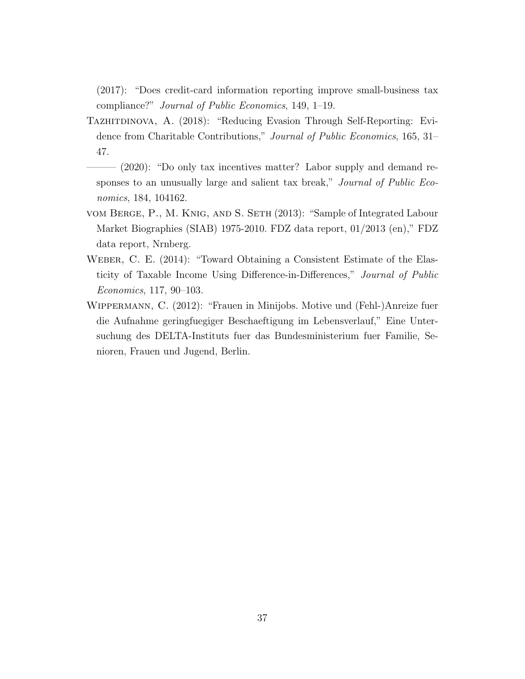(2017): "Does credit-card information reporting improve small-business tax compliance?" Journal of Public Economics, 149, 1–19.

- <span id="page-37-2"></span>TAZHITDINOVA, A. (2018): "Reducing Evasion Through Self-Reporting: Evidence from Charitable Contributions," Journal of Public Economics, 165, 31– 47.
- <span id="page-37-0"></span> $-$  (2020): "Do only tax incentives matter? Labor supply and demand responses to an unusually large and salient tax break," *Journal of Public Eco*nomics, 184, 104162.
- <span id="page-37-4"></span>vom Berge, P., M. Knig, and S. Seth (2013): "Sample of Integrated Labour Market Biographies (SIAB) 1975-2010. FDZ data report, 01/2013 (en)," FDZ data report, Nrnberg.
- <span id="page-37-1"></span>WEBER, C. E. (2014): "Toward Obtaining a Consistent Estimate of the Elasticity of Taxable Income Using Difference-in-Differences," Journal of Public Economics, 117, 90–103.
- <span id="page-37-3"></span>Wippermann, C. (2012): "Frauen in Minijobs. Motive und (Fehl-)Anreize fuer die Aufnahme geringfuegiger Beschaeftigung im Lebensverlauf," Eine Untersuchung des DELTA-Instituts fuer das Bundesministerium fuer Familie, Senioren, Frauen und Jugend, Berlin.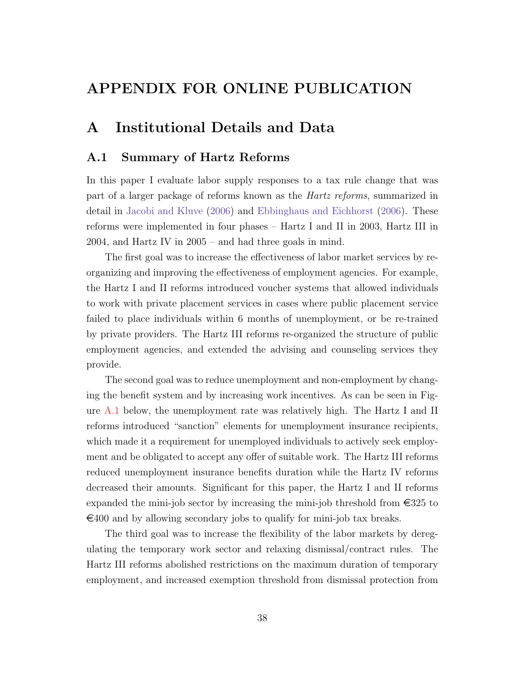# APPENDIX FOR ONLINE PUBLICATION

# <span id="page-38-0"></span>A Institutional Details and Data

## <span id="page-38-1"></span>A.1 Summary of Hartz Reforms

In this paper I evaluate labor supply responses to a tax rule change that was part of a larger package of reforms known as the Hartz reforms, summarized in detail in [Jacobi and Kluve](#page-35-10) [\(2006\)](#page-35-10) and [Ebbinghaus and Eichhorst](#page-35-11) [\(2006\)](#page-35-11). These reforms were implemented in four phases – Hartz I and II in 2003, Hartz III in 2004, and Hartz IV in 2005 – and had three goals in mind.

The first goal was to increase the effectiveness of labor market services by reorganizing and improving the effectiveness of employment agencies. For example, the Hartz I and II reforms introduced voucher systems that allowed individuals to work with private placement services in cases where public placement service failed to place individuals within 6 months of unemployment, or be re-trained by private providers. The Hartz III reforms re-organized the structure of public employment agencies, and extended the advising and counseling services they provide.

The second goal was to reduce unemployment and non-employment by changing the benefit system and by increasing work incentives. As can be seen in Figure [A.1](#page-39-0) below, the unemployment rate was relatively high. The Hartz I and II reforms introduced "sanction" elements for unemployment insurance recipients, which made it a requirement for unemployed individuals to actively seek employment and be obligated to accept any offer of suitable work. The Hartz III reforms reduced unemployment insurance benefits duration while the Hartz IV reforms decreased their amounts. Significant for this paper, the Hartz I and II reforms expanded the mini-job sector by increasing the mini-job threshold from  $\epsilon$ 325 to  $\epsilon$ 400 and by allowing secondary jobs to qualify for mini-job tax breaks.

The third goal was to increase the flexibility of the labor markets by deregulating the temporary work sector and relaxing dismissal/contract rules. The Hartz III reforms abolished restrictions on the maximum duration of temporary employment, and increased exemption threshold from dismissal protection from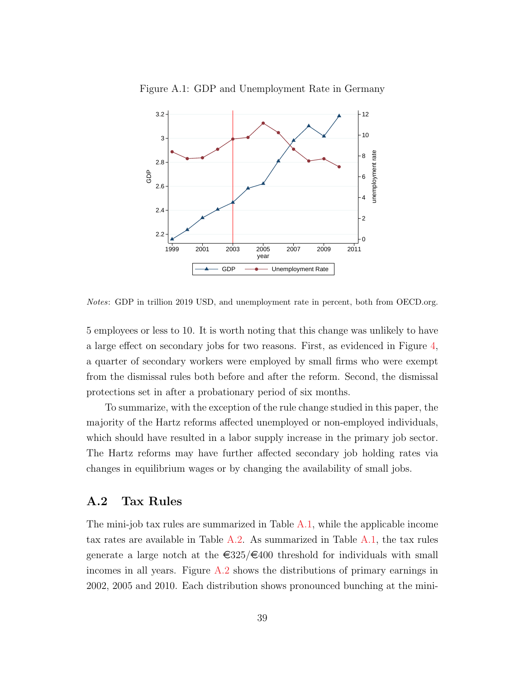<span id="page-39-0"></span>

Figure A.1: GDP and Unemployment Rate in Germany

Notes: GDP in trillion 2019 USD, and unemployment rate in percent, both from OECD.org.

5 employees or less to 10. It is worth noting that this change was unlikely to have a large effect on secondary jobs for two reasons. First, as evidenced in Figure [4,](#page-17-0) a quarter of secondary workers were employed by small firms who were exempt from the dismissal rules both before and after the reform. Second, the dismissal protections set in after a probationary period of six months.

To summarize, with the exception of the rule change studied in this paper, the majority of the Hartz reforms affected unemployed or non-employed individuals, which should have resulted in a labor supply increase in the primary job sector. The Hartz reforms may have further affected secondary job holding rates via changes in equilibrium wages or by changing the availability of small jobs.

#### A.2 Tax Rules

The mini-job tax rules are summarized in Table [A.1,](#page-40-0) while the applicable income tax rates are available in Table [A.2.](#page-41-0) As summarized in Table [A.1,](#page-40-0) the tax rules generate a large notch at the  $\epsilon$ 325/ $\epsilon$ 400 threshold for individuals with small incomes in all years. Figure [A.2](#page-42-0) shows the distributions of primary earnings in 2002, 2005 and 2010. Each distribution shows pronounced bunching at the mini-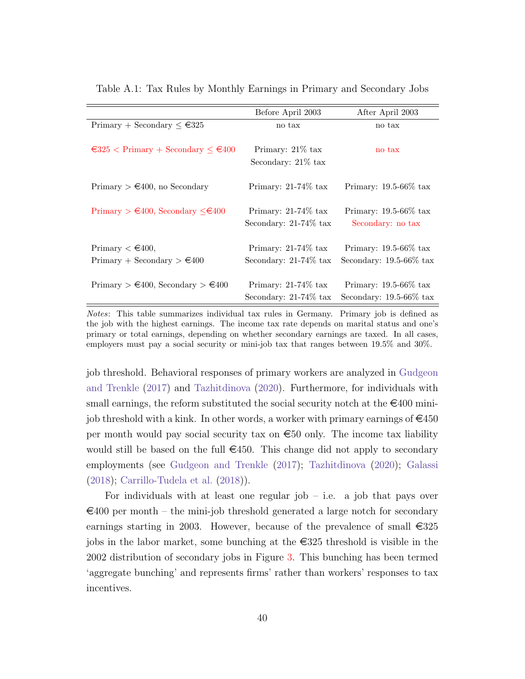<span id="page-40-0"></span>

|                                                                                | Before April 2003                                  | After April 2003                                           |
|--------------------------------------------------------------------------------|----------------------------------------------------|------------------------------------------------------------|
| Primary + Secondary $\leq \epsilon$ 325                                        | no tax                                             | no tax                                                     |
| $\text{\textless}325$ < Primary + Secondary $\text{\textless}\,4400$           | Primary: $21\%$ tax<br>Secondary: $21\%$ tax       | no tax                                                     |
| Primary $> \epsilon 400$ , no Secondary                                        | Primary: $21-74\%$ tax                             | Primary: $19.5\n-66\%$ tax                                 |
| Primary $> \text{\textsterling}400$ , Secondary $\leq \text{\textsterling}400$ | Primary: $21-74\%$ tax<br>Secondary: $21-74\%$ tax | Primary: $19.5\n-66\%$ tax<br>Secondary: no tax            |
| Primary $\lt$ $\in$ 400,<br>Primary + Secondary $> \text{\textsterling}400$    | Primary: $21-74\%$ tax<br>Secondary: $21-74\%$ tax | Primary: $19.5-66\%$ tax<br>Secondary: $19.5\n-66\%$ tax   |
| Primary > $\epsilon$ 400, Secondary > $\epsilon$ 400                           | Primary: $21-74\%$ tax<br>Secondary: $21-74\%$ tax | Primary: $19.5\n-66\%$ tax<br>Secondary: $19.5\n-66\%$ tax |

Table A.1: Tax Rules by Monthly Earnings in Primary and Secondary Jobs

Notes: This table summarizes individual tax rules in Germany. Primary job is defined as the job with the highest earnings. The income tax rate depends on marital status and one's primary or total earnings, depending on whether secondary earnings are taxed. In all cases, employers must pay a social security or mini-job tax that ranges between 19.5% and 30%.

job threshold. Behavioral responses of primary workers are analyzed in [Gudgeon](#page-35-8) [and Trenkle](#page-35-8) [\(2017\)](#page-35-8) and [Tazhitdinova](#page-37-0) [\(2020\)](#page-37-0). Furthermore, for individuals with small earnings, the reform substituted the social security notch at the  $\epsilon$ 400 minijob threshold with a kink. In other words, a worker with primary earnings of  $\epsilon$ 450 per month would pay social security tax on  $\epsilon$ 50 only. The income tax liability would still be based on the full  $\epsilon$ 450. This change did not apply to secondary employments (see [Gudgeon and Trenkle](#page-35-8) [\(2017\)](#page-35-8); [Tazhitdinova](#page-37-0) [\(2020\)](#page-37-0); [Galassi](#page-35-9) [\(2018\)](#page-35-9); [Carrillo-Tudela et al.](#page-34-5) [\(2018\)](#page-34-5)).

For individuals with at least one regular job  $-$  i.e. a job that pays over  $\epsilon$ 400 per month – the mini-job threshold generated a large notch for secondary earnings starting in 2003. However, because of the prevalence of small  $\epsilon$ 325 jobs in the labor market, some bunching at the  $\epsilon$ 325 threshold is visible in the 2002 distribution of secondary jobs in Figure [3.](#page-16-0) This bunching has been termed 'aggregate bunching' and represents firms' rather than workers' responses to tax incentives.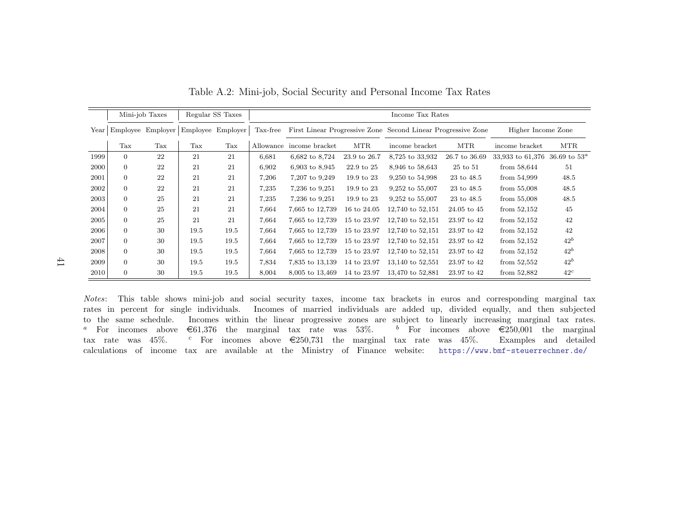|      |                | Mini-job Taxes |                                     | Regular SS Taxes |          | Income Tax Rates                                             |              |                     |               |                    |                          |  |  |
|------|----------------|----------------|-------------------------------------|------------------|----------|--------------------------------------------------------------|--------------|---------------------|---------------|--------------------|--------------------------|--|--|
| Year |                |                | Employee Employer Employee Employer |                  | Tax-free | First Linear Progressive Zone Second Linear Progressive Zone |              |                     |               | Higher Income Zone |                          |  |  |
|      | Tax            | Tax            | Tax                                 | Tax              |          | Allowance income bracket                                     | <b>MTR</b>   | income bracket      | <b>MTR</b>    | income bracket     | <b>MTR</b>               |  |  |
| 1999 | $\overline{0}$ | 22             | 21                                  | 21               | 6,681    | 6,682 to 8,724                                               | 23.9 to 26.7 | 8,725 to 33,932     | 26.7 to 36.69 | 33,933 to 61,376   | $36.69 \text{ to } 53^a$ |  |  |
| 2000 | $\overline{0}$ | 22             | 21                                  | 21               | 6,902    | 6,903 to 8,945                                               | 22.9 to 25   | 8,946 to 58,643     | 25 to 51      | from $58,644$      | 51                       |  |  |
| 2001 | $\Omega$       | 22             | 21                                  | 21               | 7,206    | 7,207 to 9,249                                               | 19.9 to 23   | 9,250 to 54,998     | 23 to 48.5    | from 54,999        | 48.5                     |  |  |
| 2002 | $\overline{0}$ | 22             | 21                                  | 21               | 7,235    | 7,236 to 9,251                                               | 19.9 to 23   | $9,252$ to $55,007$ | 23 to 48.5    | from $55,008$      | 48.5                     |  |  |
| 2003 | $\overline{0}$ | 25             | 21                                  | 21               | 7,235    | 7,236 to 9,251                                               | 19.9 to 23   | $9,252$ to $55,007$ | 23 to 48.5    | from $55,008$      | 48.5                     |  |  |
| 2004 | $\Omega$       | 25             | 21                                  | 21               | 7,664    | 7,665 to 12,739                                              | 16 to 24.05  | 12,740 to 52,151    | 24.05 to 45   | from $52,152$      | 45                       |  |  |
| 2005 | $\overline{0}$ | 25             | 21                                  | 21               | 7,664    | 7,665 to 12,739                                              | 15 to 23.97  | 12,740 to 52,151    | 23.97 to 42   | from $52,152$      | 42                       |  |  |
| 2006 | $\overline{0}$ | 30             | 19.5                                | 19.5             | 7,664    | 7,665 to 12,739                                              | 15 to 23.97  | 12.740 to 52.151    | 23.97 to 42   | from $52,152$      | 42                       |  |  |
| 2007 | $\overline{0}$ | 30             | 19.5                                | 19.5             | 7,664    | 7,665 to 12,739                                              | 15 to 23.97  | 12,740 to 52,151    | 23.97 to 42   | from $52,152$      | $42^b$                   |  |  |
| 2008 | $\overline{0}$ | 30             | 19.5                                | 19.5             | 7,664    | 7,665 to 12,739                                              | 15 to 23.97  | 12,740 to 52,151    | 23.97 to 42   | from $52,152$      | $42^b$                   |  |  |
| 2009 | $\overline{0}$ | 30             | 19.5                                | 19.5             | 7,834    | 7,835 to 13,139                                              | 14 to 23.97  | 13,140 to 52,551    | 23.97 to 42   | from $52,552$      | $42^b$                   |  |  |
| 2010 | $\overline{0}$ | 30             | 19.5                                | 19.5             | 8,004    | 8,005 to 13,469                                              | 14 to 23.97  | 13,470 to 52,881    | 23.97 to 42   | from 52,882        | $42^c$                   |  |  |

Table A.2: Mini-job, Social Security and Personal Income Tax Rates

<span id="page-41-0"></span>Notes: This table shows mini-job and social security taxes, income tax brackets in euros and corresponding marginal tax rates in percent for single individuals. Incomes of married individuals are added up, divided equally, and then subjected to the same schedule. Incomes within the linear progressive zones are subject to linearly increasing marginal tax rates.<sup>a</sup> For incomes above  $\epsilon$ 61,376 the marginal tax rate was 53%. <sup>b</sup> For incomes above  $\epsilon$ 250,001 the marginal tax rate was 45%.c For incomes above  $\epsilon$ 250,731 the marginal tax rate was 45%. Examples and detailed calculations of income tax are available at the Ministry of Finance website: <https://www.bmf-steuerrechner.de/>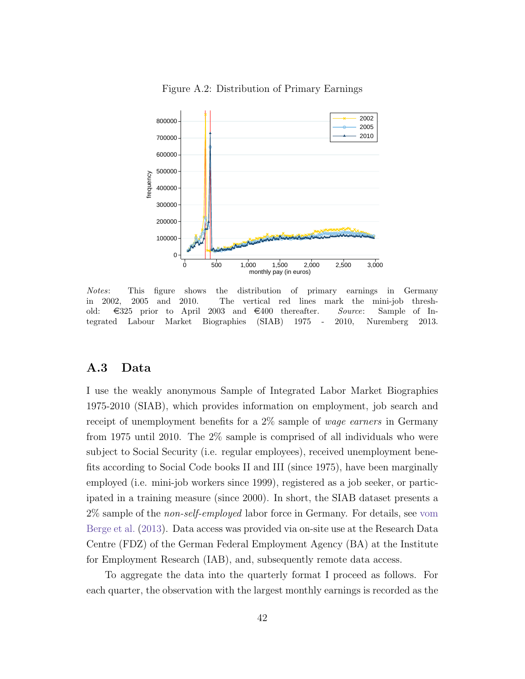<span id="page-42-0"></span>

Figure A.2: Distribution of Primary Earnings

Notes: This figure shows the distribution of primary earnings in Germany in 2002, 2005 and 2010. The vertical red lines mark the mini-job threshold:  $\epsilon$ 325 prior to April 2003 and  $\epsilon$ 400 thereafter. Source: Sample of Integrated Labour Market Biographies (SIAB) 1975 - 2010, Nuremberg 2013.

## <span id="page-42-1"></span>A.3 Data

I use the weakly anonymous Sample of Integrated Labor Market Biographies 1975-2010 (SIAB), which provides information on employment, job search and receipt of unemployment benefits for a 2\% sample of *wage earners* in Germany from 1975 until 2010. The 2% sample is comprised of all individuals who were subject to Social Security (i.e. regular employees), received unemployment benefits according to Social Code books II and III (since 1975), have been marginally employed (i.e. mini-job workers since 1999), registered as a job seeker, or participated in a training measure (since 2000). In short, the SIAB dataset presents a 2% sample of the non-self-employed labor force in Germany. For details, see [vom](#page-37-4) [Berge et al.](#page-37-4) [\(2013\)](#page-37-4). Data access was provided via on-site use at the Research Data Centre (FDZ) of the German Federal Employment Agency (BA) at the Institute for Employment Research (IAB), and, subsequently remote data access.

To aggregate the data into the quarterly format I proceed as follows. For each quarter, the observation with the largest monthly earnings is recorded as the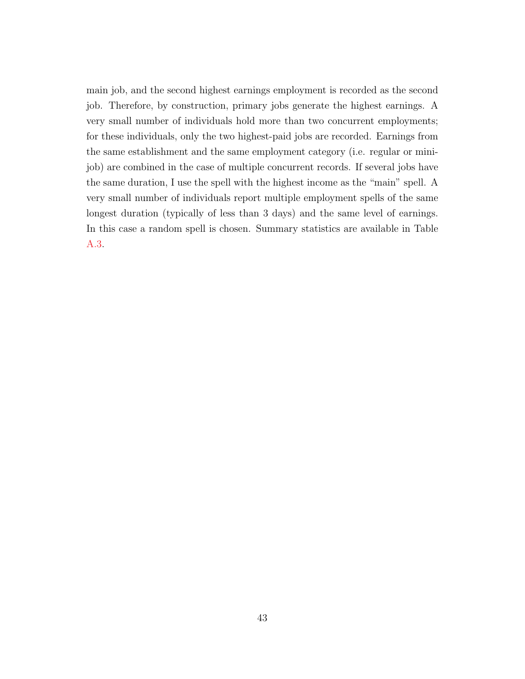main job, and the second highest earnings employment is recorded as the second job. Therefore, by construction, primary jobs generate the highest earnings. A very small number of individuals hold more than two concurrent employments; for these individuals, only the two highest-paid jobs are recorded. Earnings from the same establishment and the same employment category (i.e. regular or minijob) are combined in the case of multiple concurrent records. If several jobs have the same duration, I use the spell with the highest income as the "main" spell. A very small number of individuals report multiple employment spells of the same longest duration (typically of less than 3 days) and the same level of earnings. In this case a random spell is chosen. Summary statistics are available in Table [A.3.](#page-44-0)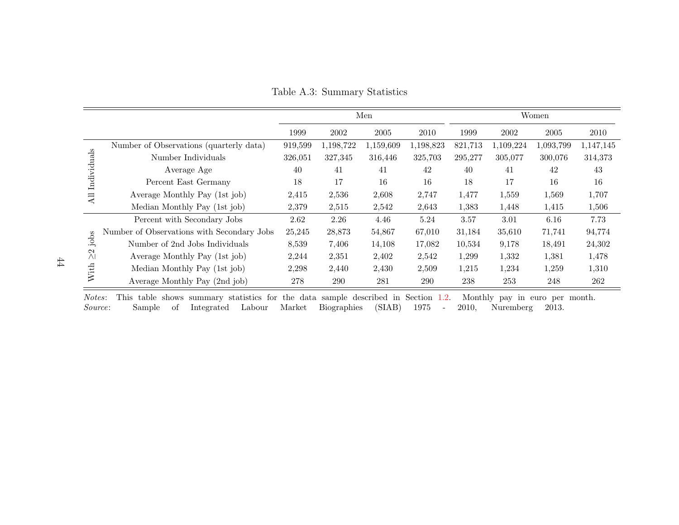|                                      |                                            |         |           | Men       |           | Women   |           |            |           |
|--------------------------------------|--------------------------------------------|---------|-----------|-----------|-----------|---------|-----------|------------|-----------|
|                                      |                                            | 1999    | 2002      | 2005      | 2010      | 1999    | 2002      | $\,2005\,$ | 2010      |
|                                      | Number of Observations (quarterly data)    | 919,599 | 1,198,722 | 1,159,609 | 1,198,823 | 821,713 | 1,109,224 | 1,093,799  | 1,147,145 |
|                                      | Number Individuals                         | 326,051 | 327,345   | 316,446   | 325,703   | 295,277 | 305,077   | 300,076    | 314,373   |
| Individuals                          | Average Age                                | 40      | 41        | 41        | 42        | 40      | 41        | 42         | 43        |
|                                      | Percent East Germany                       | 18      | 17        | 16        | 16        | 18      | 17        | 16         | 16        |
| $\overline{AB}$                      | Average Monthly Pay (1st job)              | 2,415   | 2,536     | 2,608     | 2,747     | 1,477   | 1,559     | 1,569      | 1,707     |
|                                      | Median Monthly Pay (1st job)               | 2,379   | 2,515     | 2,542     | 2,643     | 1,383   | 1,448     | 1,415      | 1,506     |
|                                      | Percent with Secondary Jobs                | 2.62    | 2.26      | 4.46      | 5.24      | 3.57    | 3.01      | 6.16       | 7.73      |
|                                      | Number of Observations with Secondary Jobs | 25,245  | 28,873    | 54,867    | 67,010    | 31,184  | 35,610    | 71,741     | 94,774    |
| jobs<br>$\frac{2}{\sqrt{2}}$<br>With | Number of 2nd Jobs Individuals             | 8,539   | 7,406     | 14,108    | 17,082    | 10,534  | 9,178     | 18,491     | 24,302    |
|                                      | Average Monthly Pay (1st job)              | 2,244   | 2,351     | 2,402     | 2,542     | 1,299   | 1,332     | 1,381      | 1,478     |
|                                      | Median Monthly Pay (1st job)               | 2,298   | 2,440     | 2,430     | 2,509     | 1,215   | 1,234     | 1,259      | 1,310     |
|                                      | Average Monthly Pay (2nd job)              | 278     | 290       | 281       | 290       | 238     | 253       | 248        | 262       |

Table A.3: Summary Statistics

<span id="page-44-0"></span>Notes: This table shows summary statistics for the data sample described in Section [1.2.](#page-10-0) Monthly pay in euro per month. Source: Sample of Integrated Labour Market Biographies (SIAB) <sup>1975</sup> - 2010, Nuremberg 2013.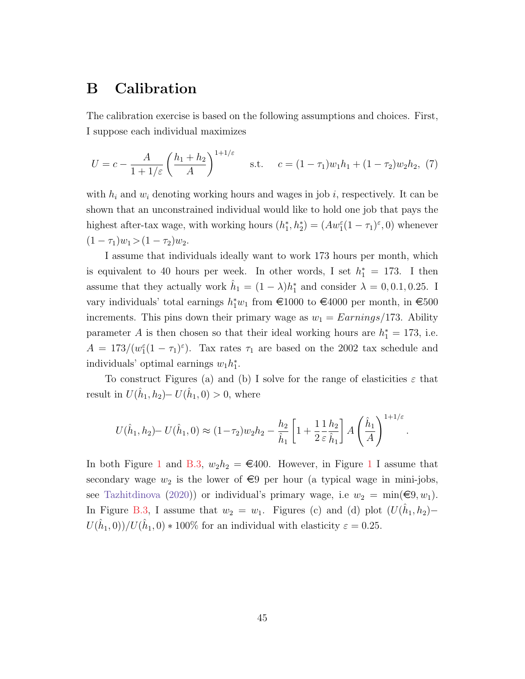# <span id="page-45-0"></span>B Calibration

The calibration exercise is based on the following assumptions and choices. First, I suppose each individual maximizes

$$
U = c - \frac{A}{1 + 1/\varepsilon} \left(\frac{h_1 + h_2}{A}\right)^{1 + 1/\varepsilon} \quad \text{s.t.} \quad c = (1 - \tau_1)w_1h_1 + (1 - \tau_2)w_2h_2, \tag{7}
$$

with  $h_i$  and  $w_i$  denoting working hours and wages in job i, respectively. It can be shown that an unconstrained individual would like to hold one job that pays the highest after-tax wage, with working hours  $(h_1^*, h_2^*) = (Aw_1^{\varepsilon}(1-\tau_1)^{\varepsilon}, 0)$  whenever  $(1 - \tau_1)w_1 > (1 - \tau_2)w_2.$ 

I assume that individuals ideally want to work 173 hours per month, which is equivalent to 40 hours per week. In other words, I set  $h_1^* = 173$ . I then assume that they actually work  $\hat{h}_1 = (1 - \lambda)h_1^*$  and consider  $\lambda = 0, 0.1, 0.25$ . I vary individuals' total earnings  $h_1^*w_1$  from €1000 to €4000 per month, in €500 increments. This pins down their primary wage as  $w_1 = Earnings/173$ . Ability parameter A is then chosen so that their ideal working hours are  $h_1^* = 173$ , i.e.  $A = 173/(w_1^{\varepsilon}(1-\tau_1)^{\varepsilon})$ . Tax rates  $\tau_1$  are based on the 2002 tax schedule and individuals' optimal earnings  $w_1 h_1^*$ .

To construct Figures (a) and (b) I solve for the range of elasticities  $\varepsilon$  that result in  $U(\hat{h}_1, h_2) - U(\hat{h}_1, 0) > 0$ , where

$$
U(\hat{h}_1, h_2) - U(\hat{h}_1, 0) \approx (1 - \tau_2) w_2 h_2 - \frac{h_2}{\hat{h}_1} \left[ 1 + \frac{1}{2} \frac{1}{\varepsilon} \frac{h_2}{\hat{h}_1} \right] A \left( \frac{\hat{h}_1}{A} \right)^{1 + 1/\varepsilon}
$$

.

In both Figure [1](#page-13-0) and [B.3,](#page-46-0)  $w_2h_2 = \epsilon 400$ . However, in Figure 1 I assume that secondary wage  $w_2$  is the lower of  $\epsilon$ 9 per hour (a typical wage in mini-jobs, see [Tazhitdinova](#page-37-0) [\(2020\)](#page-37-0)) or individual's primary wage, i.e  $w_2 = \min(\epsilon 9, w_1)$ . In Figure [B.3,](#page-46-0) I assume that  $w_2 = w_1$ . Figures (c) and (d) plot  $(U(\hat{h}_1, h_2)$ - $U(\hat{h}_1, 0) / U(\hat{h}_1, 0) * 100\%$  for an individual with elasticity  $\varepsilon = 0.25$ .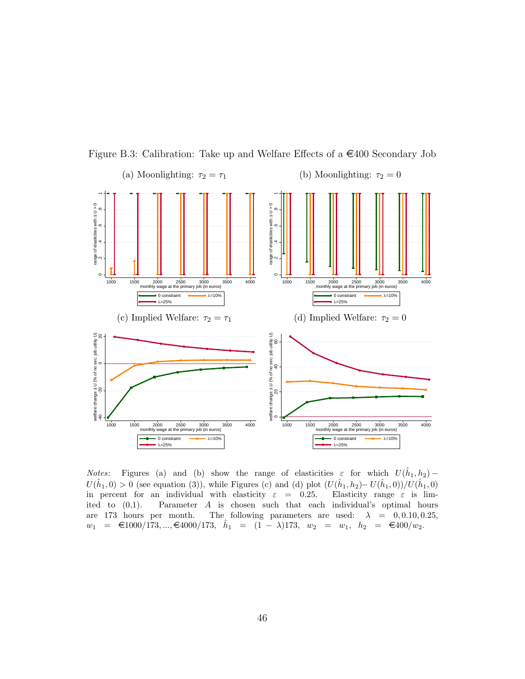<span id="page-46-0"></span>

Figure B.3: Calibration: Take up and Welfare Effects of a  $\in$ 400 Secondary Job

*Notes*: Figures (a) and (b) show the range of elasticities  $\varepsilon$  for which  $U(\hat{h}_1, h_2)$  –  $U(\hat{h}_1, 0) > 0$  (see equation (3)), while Figures (c) and (d) plot  $(U(\hat{h}_1, h_2) - U(\hat{h}_1, 0))/U(\hat{h}_1, 0)$ in percent for an individual with elasticity  $\varepsilon = 0.25$ . Elasticity range  $\varepsilon$  is limited to  $(0,1)$ . Parameter A is chosen such that each individual's optimal hours are 173 hours per month. The following parameters are used:  $\lambda = 0, 0.10, 0.25,$  $w_1 = \epsilon 1000/173, ..., \epsilon 4000/173, \quad \hat{h}_1 = (1 - \lambda)173, \quad w_2 = w_1, \quad h_2 = \epsilon 400/w_2.$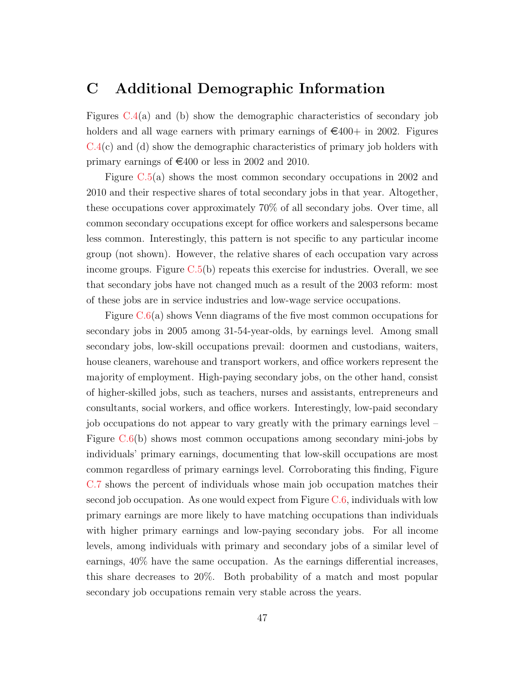# C Additional Demographic Information

Figures  $C.4(a)$  $C.4(a)$  and (b) show the demographic characteristics of secondary job holders and all wage earners with primary earnings of  $\epsilon$ 400+ in 2002. Figures  $C.4(c)$  $C.4(c)$  and (d) show the demographic characteristics of primary job holders with primary earnings of  $\epsilon$ 400 or less in 2002 and 2010.

Figure [C.5\(](#page-49-0)a) shows the most common secondary occupations in 2002 and 2010 and their respective shares of total secondary jobs in that year. Altogether, these occupations cover approximately 70% of all secondary jobs. Over time, all common secondary occupations except for office workers and salespersons became less common. Interestingly, this pattern is not specific to any particular income group (not shown). However, the relative shares of each occupation vary across income groups. Figure  $C.5(b)$  $C.5(b)$  repeats this exercise for industries. Overall, we see that secondary jobs have not changed much as a result of the 2003 reform: most of these jobs are in service industries and low-wage service occupations.

Figure  $C.6(a)$  $C.6(a)$  shows Venn diagrams of the five most common occupations for secondary jobs in 2005 among 31-54-year-olds, by earnings level. Among small secondary jobs, low-skill occupations prevail: doormen and custodians, waiters, house cleaners, warehouse and transport workers, and office workers represent the majority of employment. High-paying secondary jobs, on the other hand, consist of higher-skilled jobs, such as teachers, nurses and assistants, entrepreneurs and consultants, social workers, and office workers. Interestingly, low-paid secondary job occupations do not appear to vary greatly with the primary earnings level – Figure [C.6\(](#page-49-1)b) shows most common occupations among secondary mini-jobs by individuals' primary earnings, documenting that low-skill occupations are most common regardless of primary earnings level. Corroborating this finding, Figure [C.7](#page-50-0) shows the percent of individuals whose main job occupation matches their second job occupation. As one would expect from Figure [C.6,](#page-49-1) individuals with low primary earnings are more likely to have matching occupations than individuals with higher primary earnings and low-paying secondary jobs. For all income levels, among individuals with primary and secondary jobs of a similar level of earnings, 40% have the same occupation. As the earnings differential increases, this share decreases to 20%. Both probability of a match and most popular secondary job occupations remain very stable across the years.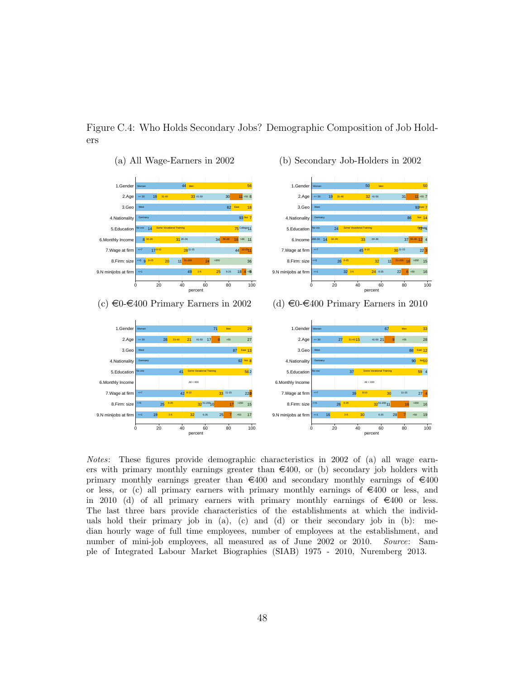<span id="page-48-0"></span>

Figure C.4: Who Holds Secondary Jobs? Demographic Composition of Job Holders

Notes: These figures provide demographic characteristics in 2002 of (a) all wage earners with primary monthly earnings greater than  $\epsilon$ 400, or (b) secondary job holders with primary monthly earnings greater than  $\epsilon$ 400 and secondary monthly earnings of  $\epsilon$ 400 or less, or (c) all primary earners with primary monthly earnings of  $\epsilon$ 400 or less, and in 2010 (d) of all primary earners with primary monthly earnings of  $\epsilon$ 400 or less. The last three bars provide characteristics of the establishments at which the individuals hold their primary job in (a), (c) and (d) or their secondary job in (b): median hourly wage of full time employees, number of employees at the establishment, and number of mini-job employees, all measured as of June 2002 or 2010. Source: Sample of Integrated Labour Market Biographies (SIAB) 1975 - 2010, Nuremberg 2013.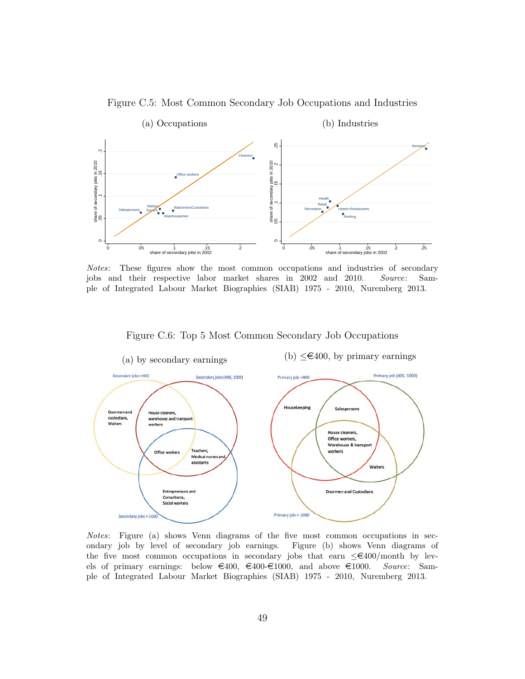Figure C.5: Most Common Secondary Job Occupations and Industries

<span id="page-49-0"></span>

Notes: These figures show the most common occupations and industries of secondary jobs and their respective labor market shares in 2002 and 2010. Source: Sample of Integrated Labour Market Biographies (SIAB) 1975 - 2010, Nuremberg 2013.

Figure C.6: Top 5 Most Common Secondary Job Occupations

<span id="page-49-1"></span>

Notes: Figure (a) shows Venn diagrams of the five most common occupations in secondary job by level of secondary job earnings. Figure (b) shows Venn diagrams of the five most common occupations in secondary jobs that earn  $\leq \epsilon 400/\text{month}$  by levels of primary earnings: below  $\in 400, \in 400$ - $\in 1000,$  and above  $\in 1000$ . Source: Sample of Integrated Labour Market Biographies (SIAB) 1975 - 2010, Nuremberg 2013.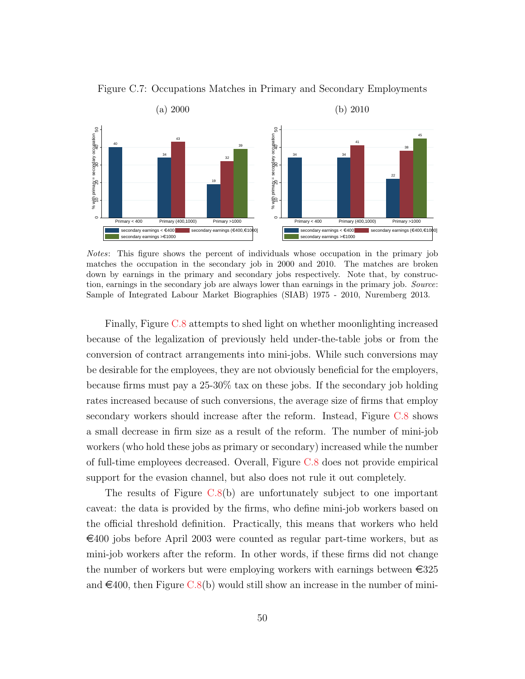

<span id="page-50-0"></span>

Notes: This figure shows the percent of individuals whose occupation in the primary job matches the occupation in the secondary job in 2000 and 2010. The matches are broken down by earnings in the primary and secondary jobs respectively. Note that, by construction, earnings in the secondary job are always lower than earnings in the primary job. Source: Sample of Integrated Labour Market Biographies (SIAB) 1975 - 2010, Nuremberg 2013.

Finally, Figure [C.8](#page-51-0) attempts to shed light on whether moonlighting increased because of the legalization of previously held under-the-table jobs or from the conversion of contract arrangements into mini-jobs. While such conversions may be desirable for the employees, they are not obviously beneficial for the employers, because firms must pay a 25-30% tax on these jobs. If the secondary job holding rates increased because of such conversions, the average size of firms that employ secondary workers should increase after the reform. Instead, Figure [C.8](#page-51-0) shows a small decrease in firm size as a result of the reform. The number of mini-job workers (who hold these jobs as primary or secondary) increased while the number of full-time employees decreased. Overall, Figure [C.8](#page-51-0) does not provide empirical support for the evasion channel, but also does not rule it out completely.

The results of Figure [C.8\(](#page-51-0)b) are unfortunately subject to one important caveat: the data is provided by the firms, who define mini-job workers based on the official threshold definition. Practically, this means that workers who held  $\epsilon$ 400 jobs before April 2003 were counted as regular part-time workers, but as mini-job workers after the reform. In other words, if these firms did not change the number of workers but were employing workers with earnings between  $\epsilon$ 325 and  $\epsilon$ 400, then Figure [C.8\(](#page-51-0)b) would still show an increase in the number of mini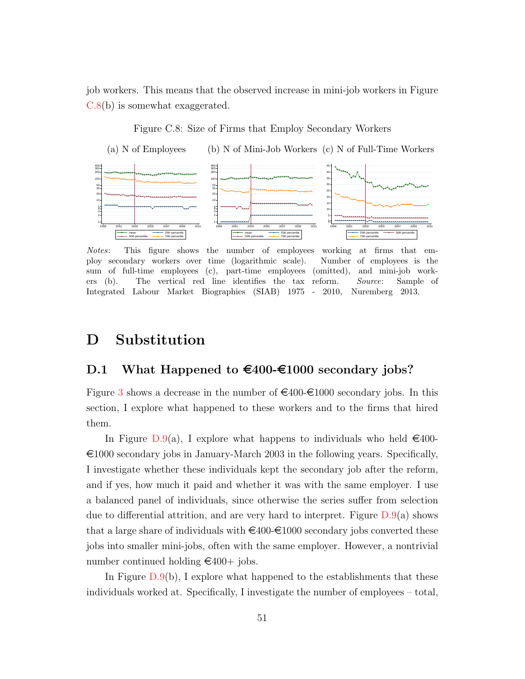job workers. This means that the observed increase in mini-job workers in Figure [C.8\(](#page-51-0)b) is somewhat exaggerated.

Figure C.8: Size of Firms that Employ Secondary Workers

<span id="page-51-0"></span>

Notes: This figure shows the number of employees working at firms that employ secondary workers over time (logarithmic scale). Number of employees is the sum of full-time employees (c), part-time employees (omitted), and mini-job workers (b). The vertical red line identifies the tax reform. Source: Sample of Integrated Labour Market Biographies (SIAB) 1975 - 2010, Nuremberg 2013.

# D Substitution

## D.1 What Happened to  $\text{£}400-\text{£}1000$  secondary jobs?

Figure [3](#page-16-0) shows a decrease in the number of  $\epsilon$ 400- $\epsilon$ 1000 secondary jobs. In this section, I explore what happened to these workers and to the firms that hired them.

In Figure [D.9\(](#page-53-0)a), I explore what happens to individuals who held  $\in$ 400- $\epsilon$ 1000 secondary jobs in January-March 2003 in the following years. Specifically, I investigate whether these individuals kept the secondary job after the reform, and if yes, how much it paid and whether it was with the same employer. I use a balanced panel of individuals, since otherwise the series suffer from selection due to differential attrition, and are very hard to interpret. Figure  $D.9(a)$  $D.9(a)$  shows that a large share of individuals with  $\epsilon_{400}\epsilon_{1000}$  secondary jobs converted these jobs into smaller mini-jobs, often with the same employer. However, a nontrivial number continued holding  $\epsilon$ 400+ jobs.

In Figure  $D.9(b)$  $D.9(b)$ , I explore what happened to the establishments that these individuals worked at. Specifically, I investigate the number of employees – total,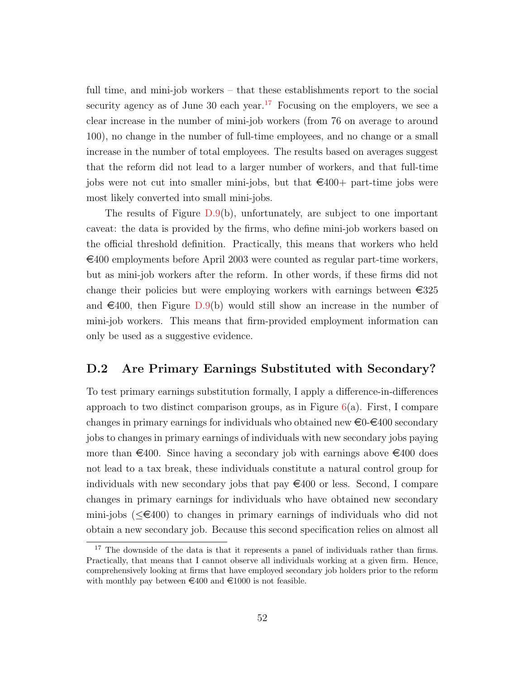full time, and mini-job workers – that these establishments report to the social security agency as of June 30 each year.<sup>[17](#page-52-1)</sup> Focusing on the employers, we see a clear increase in the number of mini-job workers (from 76 on average to around 100), no change in the number of full-time employees, and no change or a small increase in the number of total employees. The results based on averages suggest that the reform did not lead to a larger number of workers, and that full-time jobs were not cut into smaller mini-jobs, but that  $\epsilon$ 400+ part-time jobs were most likely converted into small mini-jobs.

The results of Figure  $D.9(b)$  $D.9(b)$ , unfortunately, are subject to one important caveat: the data is provided by the firms, who define mini-job workers based on the official threshold definition. Practically, this means that workers who held  $\epsilon$ 400 employments before April 2003 were counted as regular part-time workers, but as mini-job workers after the reform. In other words, if these firms did not change their policies but were employing workers with earnings between  $\epsilon$ 325 and  $\epsilon$ 400, then Figure [D.9\(](#page-53-0)b) would still show an increase in the number of mini-job workers. This means that firm-provided employment information can only be used as a suggestive evidence.

#### <span id="page-52-0"></span>D.2 Are Primary Earnings Substituted with Secondary?

To test primary earnings substitution formally, I apply a difference-in-differences approach to two distinct comparison groups, as in Figure  $6(a)$  $6(a)$ . First, I compare changes in primary earnings for individuals who obtained new  $\epsilon_0$ - $\epsilon_4$ 00 secondary jobs to changes in primary earnings of individuals with new secondary jobs paying more than  $\epsilon$ 400. Since having a secondary job with earnings above  $\epsilon$ 400 does not lead to a tax break, these individuals constitute a natural control group for individuals with new secondary jobs that pay  $\in 400$  or less. Second, I compare changes in primary earnings for individuals who have obtained new secondary mini-jobs ( $\leq \in 400$ ) to changes in primary earnings of individuals who did not obtain a new secondary job. Because this second specification relies on almost all

<span id="page-52-1"></span><sup>&</sup>lt;sup>17</sup> The downside of the data is that it represents a panel of individuals rather than firms. Practically, that means that I cannot observe all individuals working at a given firm. Hence, comprehensively looking at firms that have employed secondary job holders prior to the reform with monthly pay between  $\epsilon$ 400 and  $\epsilon$ 1000 is not feasible.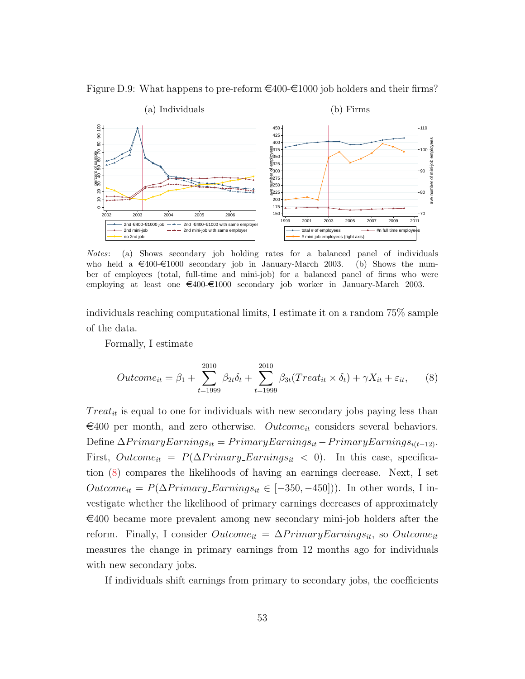Figure D.9: What happens to pre-reform  $\epsilon$ 400- $\epsilon$ 1000 job holders and their firms?

<span id="page-53-0"></span>

Notes: (a) Shows secondary job holding rates for a balanced panel of individuals who held a  $\epsilon$ 400- $\epsilon$ 1000 secondary job in January-March 2003. (b) Shows the number of employees (total, full-time and mini-job) for a balanced panel of firms who were employing at least one  $\epsilon_{400}$ - $\epsilon_{1000}$  secondary job worker in January-March 2003.

individuals reaching computational limits, I estimate it on a random 75% sample of the data.

Formally, I estimate

<span id="page-53-1"></span>
$$
Outcome_{it} = \beta_1 + \sum_{t=1999}^{2010} \beta_{2t}\delta_t + \sum_{t=1999}^{2010} \beta_{3t}(Treat_{it} \times \delta_t) + \gamma X_{it} + \varepsilon_{it}, \qquad (8)
$$

 $Treat_{it}$  is equal to one for individuals with new secondary jobs paying less than  $\epsilon$ 400 per month, and zero otherwise. *Outcome*<sub>it</sub> considers several behaviors. Define  $\Delta PrimaryEarning_{st} = PrimaryEarning_{st} - PrimaryEarning_{it-12}$ . First,  $Outcome_{it} = P(\Delta Primary\_Earning_{st} < 0)$ . In this case, specification [\(8\)](#page-53-1) compares the likelihoods of having an earnings decrease. Next, I set  $Outcome_{it} = P(\Delta Primary\_Earning_{it} \in [-350, -450])$ . In other words, I investigate whether the likelihood of primary earnings decreases of approximately  $\epsilon$ 400 became more prevalent among new secondary mini-job holders after the reform. Finally, I consider  $Outcome_{it} = \Delta PrimaryEarning_{st}$ , so  $Outcome_{it}$ measures the change in primary earnings from 12 months ago for individuals with new secondary jobs.

If individuals shift earnings from primary to secondary jobs, the coefficients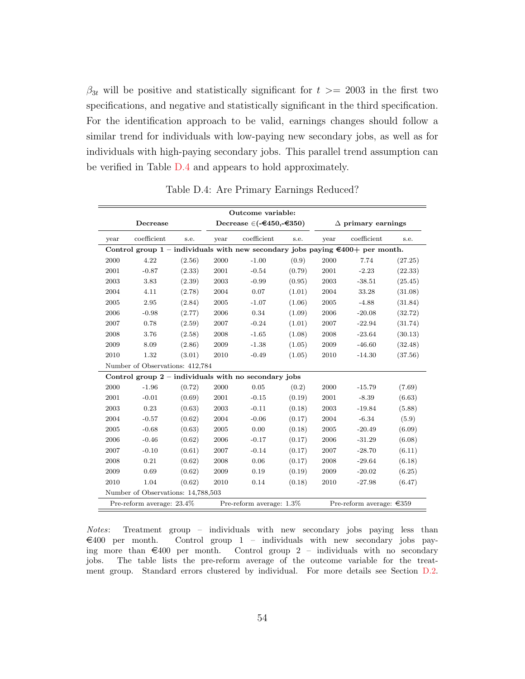$\beta_{3t}$  will be positive and statistically significant for  $t \geq 2003$  in the first two specifications, and negative and statistically significant in the third specification. For the identification approach to be valid, earnings changes should follow a similar trend for individuals with low-paying new secondary jobs, as well as for individuals with high-paying secondary jobs. This parallel trend assumption can be verified in Table [D.4](#page-54-0) and appears to hold approximately.

<span id="page-54-0"></span>

| Outcome variable:                                                                       |                                    |        |                                          |                                                        |        |                           |                                    |         |  |
|-----------------------------------------------------------------------------------------|------------------------------------|--------|------------------------------------------|--------------------------------------------------------|--------|---------------------------|------------------------------------|---------|--|
| Decrease                                                                                |                                    |        | Decrease $\in$ (- $\in$ 450,- $\in$ 350) |                                                        |        | $\Delta$ primary earnings |                                    |         |  |
| year                                                                                    | coefficient<br>s.e.                |        | year                                     | coefficient                                            | s.e.   | year                      | coefficient                        | s.e.    |  |
| Control group 1 – individuals with new secondary jobs paying $\epsilon$ 400+ per month. |                                    |        |                                          |                                                        |        |                           |                                    |         |  |
| 2000                                                                                    | 4.22                               | (2.56) | 2000                                     | $-1.00$                                                | (0.9)  | 2000                      | 7.74                               | (27.25) |  |
| 2001                                                                                    | $-0.87$                            | (2.33) | 2001                                     | $-0.54$                                                | (0.79) | 2001                      | $-2.23$                            | (22.33) |  |
| 2003                                                                                    | 3.83                               | (2.39) | 2003                                     | $-0.99$                                                | (0.95) | 2003                      | $-38.51$                           | (25.45) |  |
| 2004                                                                                    | 4.11                               | (2.78) | 2004                                     | 0.07                                                   | (1.01) | 2004                      | 33.28                              | (31.08) |  |
| 2005                                                                                    | 2.95                               | (2.84) | 2005                                     | $-1.07$                                                | (1.06) | 2005                      | $-4.88$                            | (31.84) |  |
| 2006                                                                                    | $-0.98$                            | (2.77) | 2006                                     | 0.34                                                   | (1.09) | 2006                      | $-20.08$                           | (32.72) |  |
| 2007                                                                                    | 0.78                               | (2.59) | 2007                                     | $-0.24$                                                | (1.01) | 2007                      | $-22.94$                           | (31.74) |  |
| 2008                                                                                    | 3.76                               | (2.58) | 2008                                     | $-1.65$                                                | (1.08) | 2008                      | $-23.64$                           | (30.13) |  |
| 2009                                                                                    | 8.09                               | (2.86) | 2009                                     | $-1.38$                                                | (1.05) | 2009                      | $-46.60$                           | (32.48) |  |
| 2010                                                                                    | 1.32                               | (3.01) | 2010                                     | $-0.49$                                                | (1.05) | 2010                      | $-14.30$                           | (37.56) |  |
|                                                                                         | Number of Observations: 412,784    |        |                                          |                                                        |        |                           |                                    |         |  |
|                                                                                         |                                    |        |                                          | Control group $2$ – individuals with no secondary jobs |        |                           |                                    |         |  |
| 2000                                                                                    | $-1.96$                            | (0.72) | 2000                                     | 0.05                                                   | (0.2)  | 2000                      | $-15.79$                           | (7.69)  |  |
| 2001                                                                                    | $-0.01$                            | (0.69) | 2001                                     | $-0.15$                                                | (0.19) | 2001                      | $-8.39$                            | (6.63)  |  |
| 2003                                                                                    | 0.23                               | (0.63) | 2003                                     | $-0.11$                                                | (0.18) | 2003                      | $-19.84$                           | (5.88)  |  |
| 2004                                                                                    | $-0.57$                            | (0.62) | 2004                                     | $-0.06$                                                | (0.17) | 2004                      | $-6.34$                            | (5.9)   |  |
| 2005                                                                                    | $-0.68$                            | (0.63) | 2005                                     | 0.00                                                   | (0.18) | 2005                      | $-20.49$                           | (6.09)  |  |
| 2006                                                                                    | $-0.46$                            | (0.62) | 2006                                     | $-0.17$                                                | (0.17) | 2006                      | $-31.29$                           | (6.08)  |  |
| 2007                                                                                    | $-0.10$                            | (0.61) | 2007                                     | $-0.14$                                                | (0.17) | 2007                      | $-28.70$                           | (6.11)  |  |
| 2008                                                                                    | 0.21                               | (0.62) | 2008                                     | 0.06                                                   | (0.17) | 2008                      | $-29.64$                           | (6.18)  |  |
| 2009                                                                                    | 0.69                               | (0.62) | 2009                                     | 0.19                                                   | (0.19) | 2009                      | $-20.02$                           | (6.25)  |  |
| 2010                                                                                    | 1.04                               | (0.62) | 2010                                     | 0.14                                                   | (0.18) | 2010                      | $-27.98$                           | (6.47)  |  |
|                                                                                         | Number of Observations: 14,788,503 |        |                                          |                                                        |        |                           |                                    |         |  |
| Pre-reform average: $1.3\%$<br>Pre-reform average: 23.4%                                |                                    |        |                                          |                                                        |        |                           | Pre-reform average: $\epsilon$ 359 |         |  |

Table D.4: Are Primary Earnings Reduced?

Notes: Treatment group – individuals with new secondary jobs paying less than  $\epsilon$ 400 per month. Control group 1 – individuals with new secondary jobs paying more than  $\epsilon$ 400 per month. Control group 2 – individuals with no secondary jobs. The table lists the pre-reform average of the outcome variable for the treatment group. Standard errors clustered by individual. For more details see Section [D.2.](#page-52-0)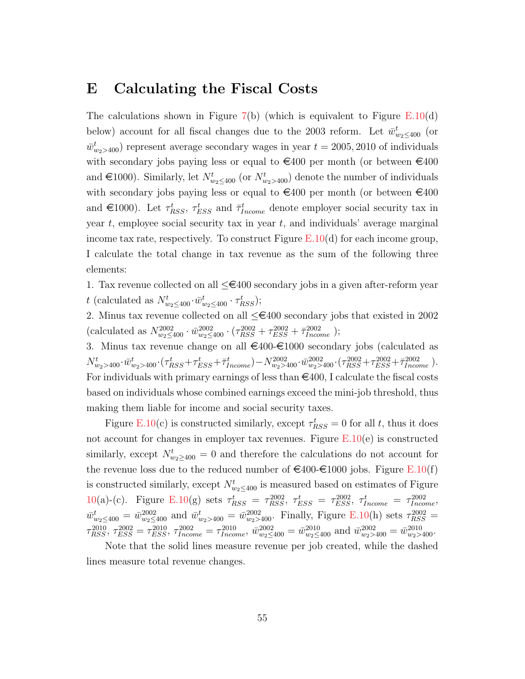## <span id="page-55-0"></span>E Calculating the Fiscal Costs

The calculations shown in Figure  $7(b)$  $7(b)$  (which is equivalent to Figure [E.10\(](#page-56-0)d) below) account for all fiscal changes due to the 2003 reform. Let  $\bar{w}^t_{w_2 \leq 400}$  (or  $\bar{w}^t_{w_2>400}$  represent average secondary wages in year  $t = 2005, 2010$  of individuals with secondary jobs paying less or equal to  $\epsilon$ 400 per month (or between  $\epsilon$ 400 and  $\in$ 1000). Similarly, let  $N_{w_2 \leq 400}^t$  (or  $N_{w_2>400}^t$ ) denote the number of individuals with secondary jobs paying less or equal to  $\epsilon$ 400 per month (or between  $\epsilon$ 400 and  $\in$ 1000). Let  $\tau_{RSS}^t$ ,  $\tau_{ESS}^t$  and  $\bar{\tau}_{Income}^t$  denote employer social security tax in year  $t$ , employee social security tax in year  $t$ , and individuals' average marginal income tax rate, respectively. To construct Figure  $E.10(d)$  $E.10(d)$  for each income group, I calculate the total change in tax revenue as the sum of the following three elements:

1. Tax revenue collected on all  $\leq \epsilon$ 400 secondary jobs in a given after-reform year t (calculated as  $N_{w_2 \leq 400}^t \cdot \bar{w}_{w_2 \leq 400}^t \cdot \tau_{RSS}^t$ );

2. Minus tax revenue collected on all  $\leq \epsilon$ 400 secondary jobs that existed in 2002 (calculated as  $N_{w_2 \leq 400}^{2002} \cdot \overline{w}_{w_2 \leq 400}^{2002} \cdot (\tau_{RSS}^{2002} + \tau_{ESS}^{2002} + \overline{\tau}_{Income}^{2002})$ ;

3. Minus tax revenue change on all  $\epsilon$ 400- $\epsilon$ 1000 secondary jobs (calculated as  $N_{w_2>400}^t \cdot \bar{w}_{w_2>400}^t \cdot (\tau_{RSS}^t + \tau_{ESS}^t + \bar{\tau}_{Income}^t) - N_{w_2>400}^{2002} \cdot \bar{w}_{w_2>400}^{2002} \cdot (\tau_{RSS}^{2002} + \tau_{ESS}^{2002} + \bar{\tau}_{Income}^{2002})$ For individuals with primary earnings of less than  $\in$ 400, I calculate the fiscal costs based on individuals whose combined earnings exceed the mini-job threshold, thus making them liable for income and social security taxes.

Figure [E.10\(](#page-56-0)c) is constructed similarly, except  $\tau_{RSS}^t = 0$  for all t, thus it does not account for changes in employer tax revenues. Figure  $E.10(e)$  $E.10(e)$  is constructed similarly, except  $N_{w_2 \geq 400}^t = 0$  and therefore the calculations do not account for the revenue loss due to the reduced number of  $\epsilon \neq 400 \epsilon \neq 1000$  jobs. Figure [E.10\(](#page-56-0)f) is constructed similarly, except  $N_{w_2 \leq 400}^t$  is measured based on estimates of Figure [10\(](#page-30-0)a)-(c). Figure [E.10\(](#page-56-0)g) sets  $\tau_{RSS}^t = \tau_{RSS}^{2002}$ ,  $\tau_{ESS}^t = \tau_{ESS}^{2002}$ ,  $\tau_{Income}^t = \tau_{Income}^{2002}$ ,  $\bar{w}^t_{w_2 \le 400} = \bar{w}^{2002}_{w_2 \le 400}$  and  $\bar{w}^t_{w_2 > 400} = \bar{w}^{2002}_{w_2 > 400}$ . Finally, Figure [E.10\(](#page-56-0)h) sets  $\tau^{2002}_{RSS} =$  $\tau_{RSS}^{2010}$ ,  $\tau_{ESS}^{2002} = \tau_{ESS}^{2010}$ ,  $\tau_{Income}^{2002} = \tau_{Income}^{2010}$ ,  $\bar{w}_{w_2 \le 400}^{2002} = \bar{w}_{w_2 \le 400}^{2010}$  and  $\bar{w}_{w_2 > 400}^{2002} = \bar{w}_{w_2 > 400}^{2010}$ .

Note that the solid lines measure revenue per job created, while the dashed lines measure total revenue changes.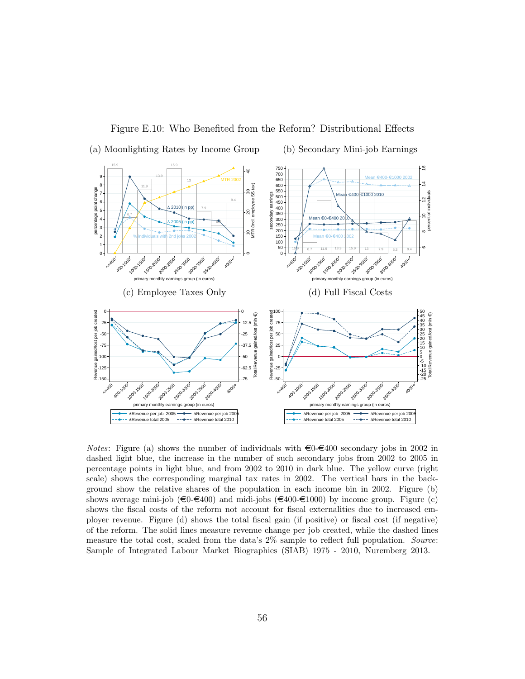<span id="page-56-0"></span>

Figure E.10: Who Benefited from the Reform? Distributional Effects

*Notes*: Figure (a) shows the number of individuals with  $\epsilon_0 \epsilon_4$  secondary jobs in 2002 in dashed light blue, the increase in the number of such secondary jobs from 2002 to 2005 in percentage points in light blue, and from 2002 to 2010 in dark blue. The yellow curve (right scale) shows the corresponding marginal tax rates in 2002. The vertical bars in the background show the relative shares of the population in each income bin in 2002. Figure (b) shows average mini-job ( $\epsilon \in (400 - 400)$  and midi-jobs ( $\epsilon \in (400 - 4000)$ ) by income group. Figure (c) shows the fiscal costs of the reform not account for fiscal externalities due to increased employer revenue. Figure (d) shows the total fiscal gain (if positive) or fiscal cost (if negative) of the reform. The solid lines measure revenue change per job created, while the dashed lines measure the total cost, scaled from the data's 2\% sample to reflect full population. Source: Sample of Integrated Labour Market Biographies (SIAB) 1975 - 2010, Nuremberg 2013.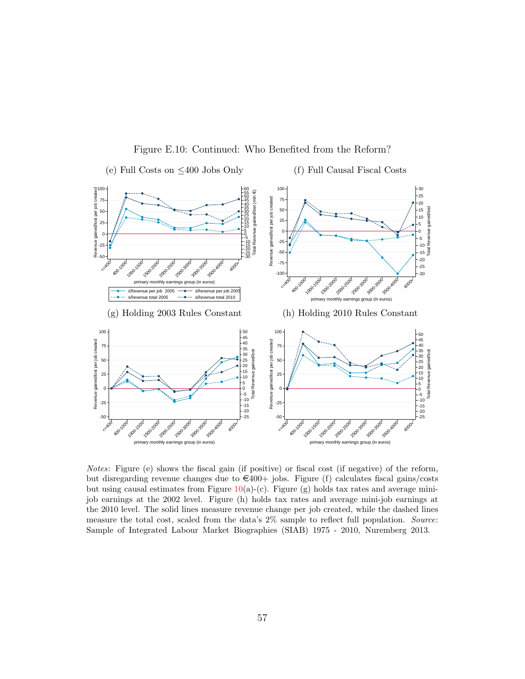

Figure E.10: Continued: Who Benefited from the Reform?

Notes: Figure (e) shows the fiscal gain (if positive) or fiscal cost (if negative) of the reform, but disregarding revenue changes due to  $\epsilon 400+$  jobs. Figure (f) calculates fiscal gains/costs but using causal estimates from Figure  $10(a)-(c)$  $10(a)-(c)$ . Figure (g) holds tax rates and average minijob earnings at the 2002 level. Figure (h) holds tax rates and average mini-job earnings at the 2010 level. The solid lines measure revenue change per job created, while the dashed lines measure the total cost, scaled from the data's  $2\%$  sample to reflect full population. Source: Sample of Integrated Labour Market Biographies (SIAB) 1975 - 2010, Nuremberg 2013.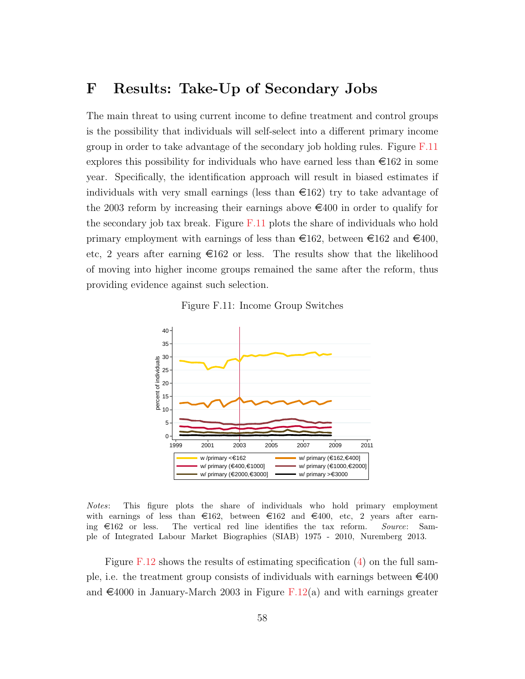# <span id="page-58-1"></span>F Results: Take-Up of Secondary Jobs

The main threat to using current income to define treatment and control groups is the possibility that individuals will self-select into a different primary income group in order to take advantage of the secondary job holding rules. Figure [F.11](#page-58-0) explores this possibility for individuals who have earned less than  $\epsilon$ 162 in some year. Specifically, the identification approach will result in biased estimates if individuals with very small earnings (less than  $\epsilon$ 162) try to take advantage of the 2003 reform by increasing their earnings above  $\epsilon$ 400 in order to qualify for the secondary job tax break. Figure  $F.11$  plots the share of individuals who hold primary employment with earnings of less than  $\epsilon 162$ , between  $\epsilon 162$  and  $\epsilon 400$ , etc, 2 years after earning  $\epsilon 162$  or less. The results show that the likelihood of moving into higher income groups remained the same after the reform, thus providing evidence against such selection.



<span id="page-58-0"></span>

Notes: This figure plots the share of individuals who hold primary employment with earnings of less than  $\epsilon 162$ , between  $\epsilon 162$  and  $\epsilon 400$ , etc, 2 years after earning  $\epsilon$ 162 or less. The vertical red line identifies the tax reform. Source: Sample of Integrated Labour Market Biographies (SIAB) 1975 - 2010, Nuremberg 2013.

Figure [F.12](#page-59-0) shows the results of estimating specification  $(4)$  on the full sample, i.e. the treatment group consists of individuals with earnings between  $\epsilon_{400}$ and  $\epsilon$ 4000 in January-March 2003 in Figure [F.12\(](#page-59-0)a) and with earnings greater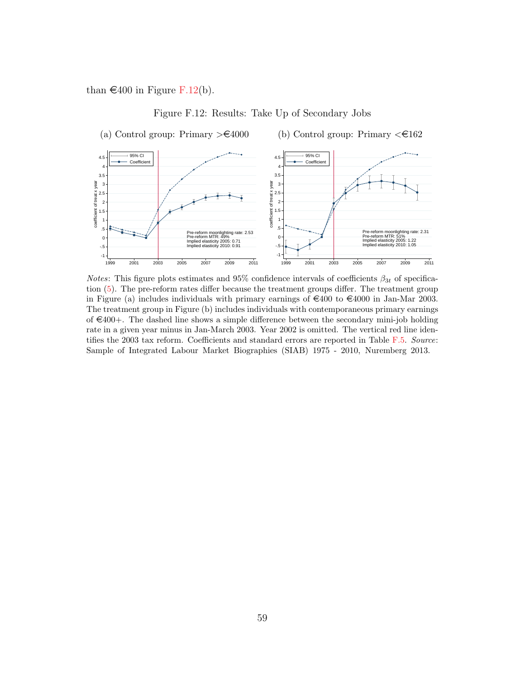than  $\in$  400 in Figure [F.12\(](#page-59-0)b).

<span id="page-59-1"></span>Figure F.12: Results: Take Up of Secondary Jobs

<span id="page-59-0"></span>

*Notes*: This figure plots estimates and 95% confidence intervals of coefficients  $\beta_{3t}$  of specification [\(5\)](#page-27-1). The pre-reform rates differ because the treatment groups differ. The treatment group in Figure (a) includes individuals with primary earnings of  $\epsilon$ 400 to  $\epsilon$ 4000 in Jan-Mar 2003. The treatment group in Figure (b) includes individuals with contemporaneous primary earnings of  $\in 400+$ . The dashed line shows a simple difference between the secondary mini-job holding rate in a given year minus in Jan-March 2003. Year 2002 is omitted. The vertical red line identifies the 2003 tax reform. Coefficients and standard errors are reported in Table [F.5.](#page-60-0) Source: Sample of Integrated Labour Market Biographies (SIAB) 1975 - 2010, Nuremberg 2013.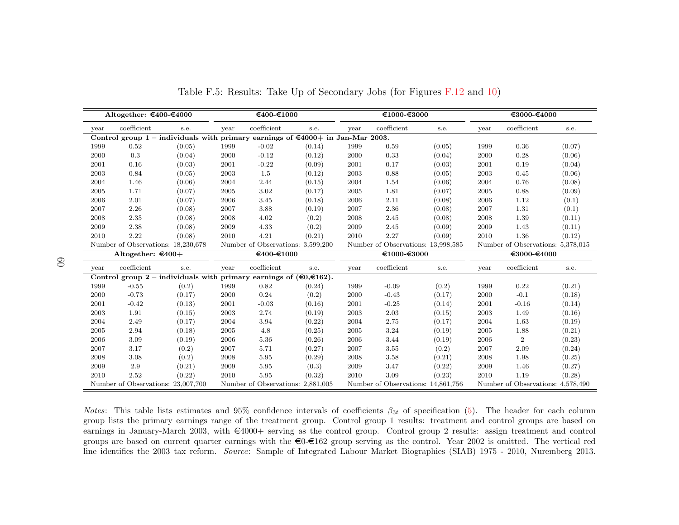|      | Altogether: €400-€4000                                                                              |        |            | €400-€1000                        |        | €1000-€3000 |                                    |        | €3000-€4000 |                                   |        |
|------|-----------------------------------------------------------------------------------------------------|--------|------------|-----------------------------------|--------|-------------|------------------------------------|--------|-------------|-----------------------------------|--------|
| year | coefficient                                                                                         | s.e.   | year       | coefficient                       | s.e.   | year        | coefficient                        | s.e.   | year        | coefficient                       | s.e.   |
|      | Control group 1 – individuals with primary earnings of $\text{\textsterling}4000+$ in Jan-Mar 2003. |        |            |                                   |        |             |                                    |        |             |                                   |        |
| 1999 | 0.52                                                                                                | (0.05) | 1999       | $-0.02$                           | (0.14) | 1999        | 0.59                               | (0.05) | 1999        | 0.36                              | (0.07) |
| 2000 | 0.3                                                                                                 | (0.04) | 2000       | $-0.12$                           | (0.12) | 2000        | 0.33                               | (0.04) | 2000        | 0.28                              | (0.06) |
| 2001 | 0.16                                                                                                | (0.03) | 2001       | $-0.22$                           | (0.09) | 2001        | 0.17                               | (0.03) | 2001        | 0.19                              | (0.04) |
| 2003 | 0.84                                                                                                | (0.05) | 2003       | 1.5                               | (0.12) | 2003        | 0.88                               | (0.05) | 2003        | 0.45                              | (0.06) |
| 2004 | 1.46                                                                                                | (0.06) | 2004       | 2.44                              | (0.15) | 2004        | 1.54                               | (0.06) | 2004        | 0.76                              | (0.08) |
| 2005 | 1.71                                                                                                | (0.07) | $\,2005\,$ | 3.02                              | (0.17) | 2005        | 1.81                               | (0.07) | 2005        | 0.88                              | (0.09) |
| 2006 | 2.01                                                                                                | (0.07) | 2006       | 3.45                              | (0.18) | 2006        | 2.11                               | (0.08) | 2006        | 1.12                              | (0.1)  |
| 2007 | 2.26                                                                                                | (0.08) | 2007       | 3.88                              | (0.19) | 2007        | 2.36                               | (0.08) | 2007        | 1.31                              | (0.1)  |
| 2008 | 2.35                                                                                                | (0.08) | 2008       | 4.02                              | (0.2)  | 2008        | 2.45                               | (0.08) | 2008        | 1.39                              | (0.11) |
| 2009 | 2.38                                                                                                | (0.08) | 2009       | 4.33                              | (0.2)  | 2009        | 2.45                               | (0.09) | 2009        | 1.43                              | (0.11) |
| 2010 | 2.22                                                                                                | (0.08) | 2010       | 4.21                              | (0.21) | 2010        | 2.27                               | (0.09) | 2010        | 1.36                              | (0.12) |
|      | Number of Observations: 18,230,678                                                                  |        |            | Number of Observations: 3,599,200 |        |             | Number of Observations: 13,998,585 |        |             | Number of Observations: 5,378,015 |        |
|      | Altogether: $\epsilon$ 400+                                                                         |        |            | €400-€1000                        |        |             | €1000-€3000                        |        |             | €3000-€4000                       |        |
| year | coefficient                                                                                         | s.e.   | year       | coefficient                       | s.e.   | year        | coefficient                        | s.e.   | year        | coefficient                       | s.e.   |
|      | Control group 2 – individuals with primary earnings of $(\epsilon 0, \epsilon 162)$ .               |        |            |                                   |        |             |                                    |        |             |                                   |        |
| 1999 | $-0.55$                                                                                             | (0.2)  | 1999       | 0.82                              | (0.24) | 1999        | $-0.09$                            | (0.2)  | 1999        | 0.22                              | (0.21) |
| 2000 | $-0.73$                                                                                             | (0.17) | 2000       | 0.24                              | (0.2)  | 2000        | $-0.43$                            | (0.17) | 2000        | $-0.1$                            | (0.18) |
| 2001 | $-0.42$                                                                                             | (0.13) | 2001       | $-0.03$                           | (0.16) | 2001        | $-0.25$                            | (0.14) | 2001        | $-0.16$                           | (0.14) |
| 2003 | 1.91                                                                                                | (0.15) | 2003       | 2.74                              | (0.19) | 2003        | 2.03                               | (0.15) | 2003        | 1.49                              | (0.16) |
| 2004 | 2.49                                                                                                | (0.17) | 2004       | 3.94                              | (0.22) | 2004        | 2.75                               | (0.17) | 2004        | 1.63                              | (0.19) |
| 2005 | 2.94                                                                                                | (0.18) | 2005       | 4.8                               | (0.25) | 2005        | 3.24                               | (0.19) | 2005        | 1.88                              | (0.21) |
| 2006 | 3.09                                                                                                | (0.19) | 2006       | 5.36                              | (0.26) | 2006        | 3.44                               | (0.19) | 2006        | $\overline{2}$                    | (0.23) |
| 2007 | 3.17                                                                                                | (0.2)  | 2007       | 5.71                              | (0.27) | 2007        | 3.55                               | (0.2)  | 2007        | 2.09                              | (0.24) |
| 2008 | 3.08                                                                                                | (0.2)  | 2008       | 5.95                              | (0.29) | 2008        | 3.58                               | (0.21) | 2008        | 1.98                              | (0.25) |
| 2009 | 2.9                                                                                                 | (0.21) | 2009       | 5.95                              | (0.3)  | 2009        | 3.47                               | (0.22) | 2009        | 1.46                              | (0.27) |
| 2010 | 2.52                                                                                                | (0.22) | 2010       | 5.95                              | (0.32) | 2010        | 3.09                               | (0.23) | 2010        | 1.19                              | (0.28) |
|      | Number of Observations: 23,007,700                                                                  |        |            | Number of Observations: 2,881,005 |        |             | Number of Observations: 14,861,756 |        |             | Number of Observations: 4,578,490 |        |

Table F.5: Results: Take Up of Secondary Jobs (for Figures [F.12](#page-59-1) and [10\)](#page-30-1)

<span id="page-60-0"></span>*Notes*: This table lists estimates and 95% confidence intervals of coefficients  $\beta_{3t}$  of specification ([5\)](#page-27-3). The header for each column group lists the primary earnings range of the treatment group. Control group 1 results: treatment and control groups are based onearnings in January-March 2003, with  $\epsilon$ 4000+ serving as the control group. Control group 2 results: assign treatment and control groups are based on current quarter earnings with the  $\in 0$ - $\in 162$  group serving as the control. Year 2002 is omitted. The vertical red line identifies the 2003 tax reform. Source: Sample of Integrated Labour Market Biographies (SIAB) <sup>1975</sup> - 2010, Nuremberg 2013.